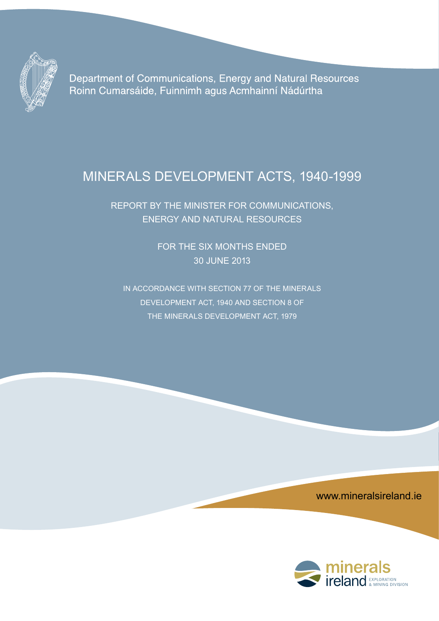

Department of Communications, Energy and Natural Resources Roinn Cumarsáide, Fuinnimh agus Acmhainní Nádúrtha

# Minerals Development Acts, 1940-1999

Report by the Minister for Communications, Energy and Natural Resources

> FOR THE SIX MONTHS ENDED 30 June 2013

In accordance with section 77 of the minerals development act, 1940 and section 8 of the minerals development act, 1979

www.mineralsireland.ie

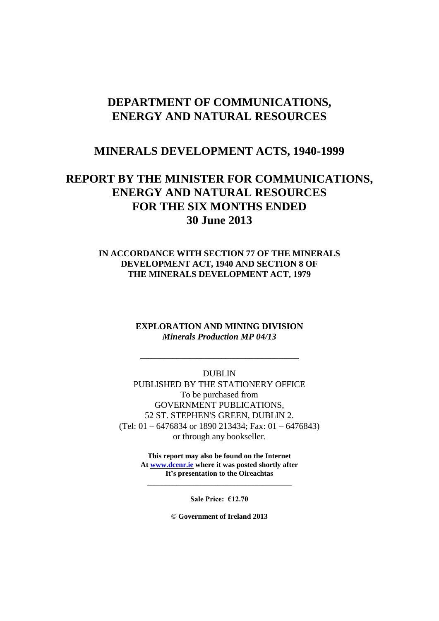# **DEPARTMENT OF COMMUNICATIONS, ENERGY AND NATURAL RESOURCES**

# **MINERALS DEVELOPMENT ACTS, 1940-1999**

# **REPORT BY THE MINISTER FOR COMMUNICATIONS, ENERGY AND NATURAL RESOURCES FOR THE SIX MONTHS ENDED 30 June 2013**

### **IN ACCORDANCE WITH SECTION 77 OF THE MINERALS DEVELOPMENT ACT, 1940 AND SECTION 8 OF THE MINERALS DEVELOPMENT ACT, 1979**

### **EXPLORATION AND MINING DIVISION** *Minerals Production MP 04/13*

**\_\_\_\_\_\_\_\_\_\_\_\_\_\_\_\_\_\_\_\_\_\_\_\_\_\_\_\_\_\_\_\_\_\_\_\_\_\_\_**

DUBLIN PUBLISHED BY THE STATIONERY OFFICE To be purchased from GOVERNMENT PUBLICATIONS, 52 ST. STEPHEN'S GREEN, DUBLIN 2. (Tel: 01 – 6476834 or 1890 213434; Fax: 01 – 6476843) or through any bookseller.

> **This report may also be found on the Internet At [www.dcenr.ie](http://www.dcenr.ie/) where it was posted shortly after It's presentation to the Oireachtas \_\_\_\_\_\_\_\_\_\_\_\_\_\_\_\_\_\_\_\_\_\_\_\_\_\_\_\_\_\_\_\_\_\_\_\_\_\_\_**

> > **Sale Price: €12.70**

**© Government of Ireland 2013**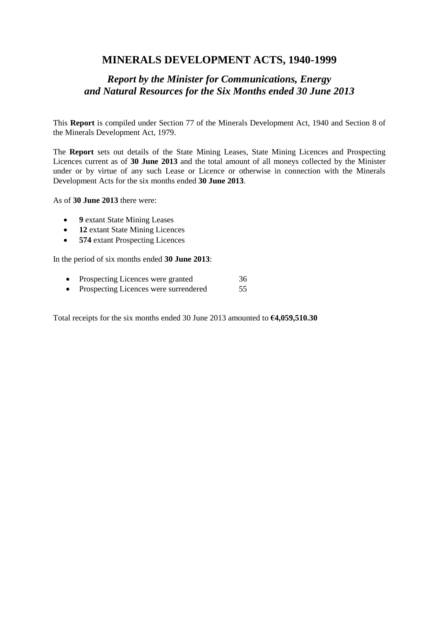# **MINERALS DEVELOPMENT ACTS, 1940-1999**

# *Report by the Minister for Communications, Energy and Natural Resources for the Six Months ended 30 June 2013*

This **Report** is compiled under Section 77 of the Minerals Development Act, 1940 and Section 8 of the Minerals Development Act, 1979.

The **Report** sets out details of the State Mining Leases, State Mining Licences and Prospecting Licences current as of **30 June 2013** and the total amount of all moneys collected by the Minister under or by virtue of any such Lease or Licence or otherwise in connection with the Minerals Development Acts for the six months ended **30 June 2013**.

As of **30 June 2013** there were:

- **9** extant State Mining Leases
- **12** extant State Mining Licences
- **574** extant Prospecting Licences

In the period of six months ended **30 June 2013**:

- Prospecting Licences were granted 36
- Prospecting Licences were surrendered 55

Total receipts for the six months ended 30 June 2013 amounted to **€4,059,510.30**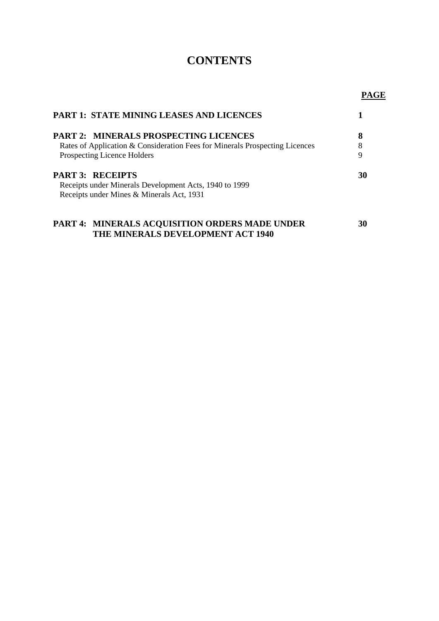# **CONTENTS**

**PAGE**

| <b>PART 1: STATE MINING LEASES AND LICENCES</b>                                                                                |        |
|--------------------------------------------------------------------------------------------------------------------------------|--------|
| <b>PART 2: MINERALS PROSPECTING LICENCES</b>                                                                                   | 8      |
| Rates of Application & Consideration Fees for Minerals Prospecting Licences<br><b>Prospecting Licence Holders</b>              | 8<br>9 |
| <b>PART 3: RECEIPTS</b><br>Receipts under Minerals Development Acts, 1940 to 1999<br>Receipts under Mines & Minerals Act, 1931 | 30     |
| <b>PART 4: MINERALS ACQUISITION ORDERS MADE UNDER</b><br>THE MINERALS DEVELOPMENT ACT 1940                                     | 30     |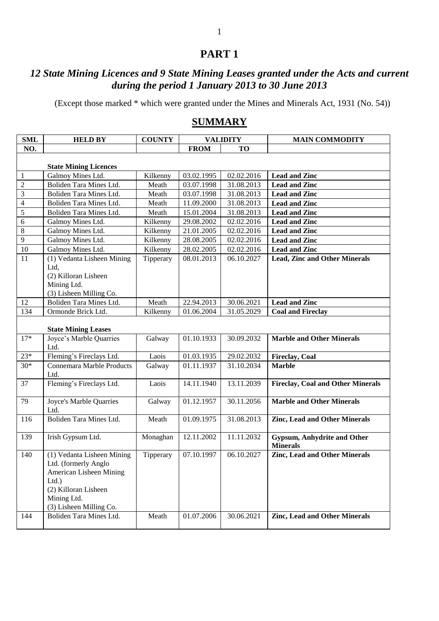# **PART 1**

# *12 State Mining Licences and 9 State Mining Leases granted under the Acts and current during the period 1 January 2013 to 30 June 2013*

(Except those marked \* which were granted under the Mines and Minerals Act, 1931 (No. 54))

# **SUMMARY**

| <b>SML</b>      | <b>HELD BY</b>                                                                                                                                              | <b>COUNTY</b> |                         | <b>VALIDITY</b> | <b>MAIN COMMODITY</b>                                 |
|-----------------|-------------------------------------------------------------------------------------------------------------------------------------------------------------|---------------|-------------------------|-----------------|-------------------------------------------------------|
| NO.             |                                                                                                                                                             |               | <b>FROM</b>             | <b>TO</b>       |                                                       |
|                 | <b>State Mining Licences</b>                                                                                                                                |               |                         |                 |                                                       |
| $\mathbf{1}$    | Galmoy Mines Ltd.                                                                                                                                           | Kilkenny      | 03.02.1995              | 02.02.2016      | <b>Lead and Zinc</b>                                  |
| $\overline{2}$  | Boliden Tara Mines Ltd.                                                                                                                                     | Meath         | 03.07.1998              | 31.08.2013      | <b>Lead and Zinc</b>                                  |
| $\overline{3}$  | Boliden Tara Mines Ltd.                                                                                                                                     | Meath         | 03.07.1998              | 31.08.2013      | <b>Lead and Zinc</b>                                  |
| $\overline{4}$  | Boliden Tara Mines Ltd.                                                                                                                                     | Meath         | 11.09.2000              | 31.08.2013      | <b>Lead and Zinc</b>                                  |
| $\overline{5}$  | Boliden Tara Mines Ltd.                                                                                                                                     | Meath         | 15.01.2004              | 31.08.2013      | <b>Lead and Zinc</b>                                  |
| 6               | Galmoy Mines Ltd.                                                                                                                                           | Kilkenny      | 29.08.2002              | 02.02.2016      | <b>Lead and Zinc</b>                                  |
| $\,8\,$         | Galmoy Mines Ltd.                                                                                                                                           | Kilkenny      | 21.01.2005              | 02.02.2016      | <b>Lead and Zinc</b>                                  |
| $\overline{9}$  | Galmoy Mines Ltd.                                                                                                                                           | Kilkenny      | 28.08.2005              | 02.02.2016      | <b>Lead and Zinc</b>                                  |
| $\overline{10}$ | Galmoy Mines Ltd.                                                                                                                                           | Kilkenny      | 28.02.2005              | 02.02.2016      | <b>Lead and Zinc</b>                                  |
| 11              | (1) Vedanta Lisheen Mining                                                                                                                                  | Tipperary     | 08.01.2013              | 06.10.2027      | <b>Lead, Zinc and Other Minerals</b>                  |
|                 | Ltd,<br>(2) Killoran Lisheen<br>Mining Ltd.<br>(3) Lisheen Milling Co.                                                                                      |               |                         |                 |                                                       |
| 12              | <b>Boliden Tara Mines Ltd.</b>                                                                                                                              | Meath         | 22.94.2013              | 30.06.2021      | <b>Lead and Zinc</b>                                  |
| 134             | Ormonde Brick Ltd.                                                                                                                                          | Kilkenny      | 01.06.2004              | 31.05.2029      | <b>Coal and Fireclay</b>                              |
|                 | <b>State Mining Leases</b>                                                                                                                                  |               |                         |                 |                                                       |
| $17*$           | Joyce's Marble Quarries<br>Ltd.                                                                                                                             | Galway        | $\overline{01.10.19}33$ | 30.09.2032      | <b>Marble and Other Minerals</b>                      |
| $23*$           | Fleming's Fireclays Ltd.                                                                                                                                    | Laois         | 01.03.1935              | 29.02.2032      | <b>Fireclay, Coal</b>                                 |
| $30*$           | Connemara Marble Products<br>Ltd.                                                                                                                           | Galway        | 01.11.1937              | 31.10.2034      | <b>Marble</b>                                         |
| 37              | Fleming's Fireclays Ltd.                                                                                                                                    | Laois         | 14.11.1940              | 13.11.2039      | <b>Fireclay, Coal and Other Minerals</b>              |
| 79              | Joyce's Marble Quarries<br>Ltd.                                                                                                                             | Galway        | 01.12.1957              | 30.11.2056      | <b>Marble and Other Minerals</b>                      |
| 116             | Boliden Tara Mines Ltd.                                                                                                                                     | Meath         | 01.09.1975              | 31.08.2013      | <b>Zinc, Lead and Other Minerals</b>                  |
| 139             | Irish Gypsum Ltd.                                                                                                                                           | Monaghan      | 12.11.2002              | 11.11.2032      | <b>Gypsum, Anhydrite and Other</b><br><b>Minerals</b> |
| 140             | (1) Vedanta Lisheen Mining<br>Ltd. (formerly Anglo<br>American Lisheen Mining<br>$Ltd.$ )<br>(2) Killoran Lisheen<br>Mining Ltd.<br>(3) Lisheen Milling Co. | Tipperary     | 07.10.1997              | 06.10.2027      | <b>Zinc, Lead and Other Minerals</b>                  |
| 144             | Boliden Tara Mines Ltd.                                                                                                                                     | Meath         | 01.07.2006              | 30.06.2021      | <b>Zinc, Lead and Other Minerals</b>                  |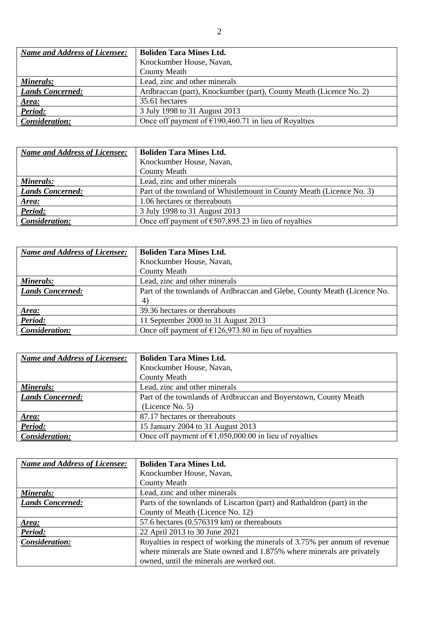| <b>Name and Address of Licensee:</b> | <b>Boliden Tara Mines Ltd.</b>                                     |  |
|--------------------------------------|--------------------------------------------------------------------|--|
|                                      | Knockumber House, Navan,                                           |  |
|                                      | <b>County Meath</b>                                                |  |
| Minerals:                            | Lead, zinc and other minerals                                      |  |
| <b>Lands Concerned:</b>              | Ardbraccan (part), Knockumber (part), County Meath (Licence No. 2) |  |
| Area:                                | 35.61 hectares                                                     |  |
| Period:                              | 3 July 1998 to 31 August 2013                                      |  |
| Consideration:                       | Once off payment of $\epsilon$ 190,460.71 in lieu of Royalties     |  |

| <b>Name and Address of Licensee:</b> | <b>Boliden Tara Mines Ltd.</b>                                       |
|--------------------------------------|----------------------------------------------------------------------|
|                                      | Knockumber House, Navan,                                             |
|                                      | <b>County Meath</b>                                                  |
| <b>Minerals:</b>                     | Lead, zinc and other minerals                                        |
| <b>Lands Concerned:</b>              | Part of the townland of Whistlemount in County Meath (Licence No. 3) |
| Area:                                | 1.06 hectares or thereabouts                                         |
| Period:                              | 3 July 1998 to 31 August 2013                                        |
| Consideration:                       | Once off payment of $\epsilon$ 507,895.23 in lieu of royalties       |

| <b>Name and Address of Licensee:</b> | <b>Boliden Tara Mines Ltd.</b>                                           |
|--------------------------------------|--------------------------------------------------------------------------|
|                                      | Knockumber House, Navan,                                                 |
|                                      | <b>County Meath</b>                                                      |
| Minerals:                            | Lead, zinc and other minerals                                            |
| <b>Lands Concerned:</b>              | Part of the townlands of Ardbraccan and Glebe, County Meath (Licence No. |
|                                      | 4)                                                                       |
| Area:                                | 39.36 hectares or thereabouts                                            |
| Period:                              | 11 September 2000 to 31 August 2013                                      |
| Consideration:                       | Once off payment of $\epsilon$ 126,973.80 in lieu of royalties           |

| <b>Name and Address of Licensee:</b> | <b>Boliden Tara Mines Ltd.</b>                                   |
|--------------------------------------|------------------------------------------------------------------|
|                                      | Knockumber House, Navan,                                         |
|                                      | <b>County Meath</b>                                              |
| Minerals:                            | Lead, zinc and other minerals                                    |
| <b>Lands Concerned:</b>              | Part of the townlands of Ardbraccan and Boyerstown, County Meath |
|                                      | (Licence No. 5)                                                  |
| Area:                                | 87.17 hectares or thereabouts                                    |
| Period:                              | 15 January 2004 to 31 August 2013                                |
| Consideration:                       | Once off payment of $\epsilon$ 1,050,000.00 in lieu of royalties |

| <b>Name and Address of Licensee:</b> | <b>Boliden Tara Mines Ltd.</b>                                             |
|--------------------------------------|----------------------------------------------------------------------------|
|                                      | Knockumber House, Navan,                                                   |
|                                      | <b>County Meath</b>                                                        |
| Minerals:                            | Lead, zinc and other minerals                                              |
| <b>Lands Concerned:</b>              | Parts of the townlands of Liscarton (part) and Rathaldron (part) in the    |
|                                      | County of Meath (Licence No. 12)                                           |
| Area:                                | 57.6 hectares $(0.576319 \text{ km})$ or thereabouts                       |
| Period:                              | 22 April 2013 to 30 June 2021                                              |
| Consideration:                       | Royalties in respect of working the minerals of 3.75% per annum of revenue |
|                                      | where minerals are State owned and 1.875% where minerals are privately     |
|                                      | owned, until the minerals are worked out.                                  |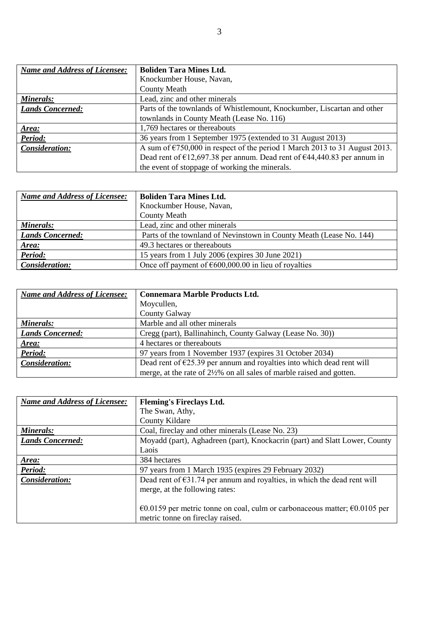| <b>Name and Address of Licensee:</b> | <b>Boliden Tara Mines Ltd.</b>                                                                                    |
|--------------------------------------|-------------------------------------------------------------------------------------------------------------------|
|                                      | Knockumber House, Navan,                                                                                          |
|                                      | <b>County Meath</b>                                                                                               |
| Minerals:                            | Lead, zinc and other minerals                                                                                     |
| <b>Lands Concerned:</b>              | Parts of the townlands of Whistlemount, Knockumber, Liscartan and other                                           |
|                                      | townlands in County Meath (Lease No. 116)                                                                         |
| Area:                                | 1,769 hectares or thereabouts                                                                                     |
| Period:                              | 36 years from 1 September 1975 (extended to 31 August 2013)                                                       |
| Consideration:                       | A sum of $\epsilon$ 750,000 in respect of the period 1 March 2013 to 31 August 2013.                              |
|                                      | Dead rent of $\text{\textsterling}12,697.38$ per annum. Dead rent of $\text{\textsterling}44,440.83$ per annum in |
|                                      | the event of stoppage of working the minerals.                                                                    |

| <b>Name and Address of Licensee:</b> | <b>Boliden Tara Mines Ltd.</b>                                      |  |
|--------------------------------------|---------------------------------------------------------------------|--|
|                                      | Knockumber House, Navan,                                            |  |
|                                      | <b>County Meath</b>                                                 |  |
| Minerals:                            | Lead, zinc and other minerals                                       |  |
| <b>Lands Concerned:</b>              | Parts of the townland of Nevinstown in County Meath (Lease No. 144) |  |
| Area:                                | 49.3 hectares or thereabouts                                        |  |
| Period:                              | 15 years from 1 July 2006 (expires 30 June 2021)                    |  |
| Consideration:                       | Once off payment of $\epsilon$ 600,000.00 in lieu of royalties      |  |

| <b>Name and Address of Licensee:</b> | <b>Connemara Marble Products Ltd.</b>                                           |  |
|--------------------------------------|---------------------------------------------------------------------------------|--|
|                                      | Moycullen,                                                                      |  |
|                                      | <b>County Galway</b>                                                            |  |
| Minerals:                            | Marble and all other minerals                                                   |  |
| <b>Lands Concerned:</b>              | Cregg (part), Ballinahinch, County Galway (Lease No. 30))                       |  |
| Area:                                | 4 hectares or thereabouts                                                       |  |
| Period:                              | 97 years from 1 November 1937 (expires 31 October 2034)                         |  |
| Consideration:                       | Dead rent of $\epsilon$ 25.39 per annum and royalties into which dead rent will |  |
|                                      | merge, at the rate of 2½% on all sales of marble raised and gotten.             |  |

| <b>Name and Address of Licensee:</b> | <b>Fleming's Fireclays Ltd.</b>                                                                                      |
|--------------------------------------|----------------------------------------------------------------------------------------------------------------------|
|                                      | The Swan, Athy,                                                                                                      |
|                                      | <b>County Kildare</b>                                                                                                |
| Minerals:                            | Coal, fireclay and other minerals (Lease No. 23)                                                                     |
| <b>Lands Concerned:</b>              | Moyadd (part), Aghadreen (part), Knockacrin (part) and Slatt Lower, County                                           |
|                                      | Laois                                                                                                                |
| Area:                                | 384 hectares                                                                                                         |
| Period:                              | 97 years from 1 March 1935 (expires 29 February 2032)                                                                |
| Consideration:                       | Dead rent of $\epsilon$ 31.74 per annum and royalties, in which the dead rent will<br>merge, at the following rates: |
|                                      |                                                                                                                      |
|                                      | €0.0159 per metric tonne on coal, culm or carbonaceous matter; $€0.0105$ per<br>metric tonne on fireclay raised.     |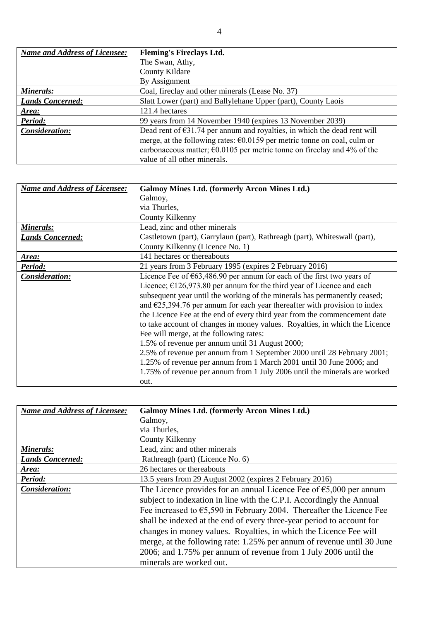| <b>Name and Address of Licensee:</b> | <b>Fleming's Fireclays Ltd.</b>                                                    |
|--------------------------------------|------------------------------------------------------------------------------------|
|                                      | The Swan, Athy,                                                                    |
|                                      | <b>County Kildare</b>                                                              |
|                                      | By Assignment                                                                      |
| Minerals:                            | Coal, fireclay and other minerals (Lease No. 37)                                   |
| <b>Lands Concerned:</b>              | Slatt Lower (part) and Ballylehane Upper (part), County Laois                      |
| Area:                                | 121.4 hectares                                                                     |
| Period:                              | 99 years from 14 November 1940 (expires 13 November 2039)                          |
| Consideration:                       | Dead rent of $\epsilon$ 31.74 per annum and royalties, in which the dead rent will |
|                                      | merge, at the following rates: €0.0159 per metric tonne on coal, culm or           |
|                                      | carbonaceous matter; $\epsilon$ 0.0105 per metric tonne on fireclay and 4% of the  |
|                                      | value of all other minerals.                                                       |

| <b>Name and Address of Licensee:</b> | <b>Galmoy Mines Ltd. (formerly Arcon Mines Ltd.)</b>                                |
|--------------------------------------|-------------------------------------------------------------------------------------|
|                                      | Galmoy,                                                                             |
|                                      | via Thurles,                                                                        |
|                                      | County Kilkenny                                                                     |
| Minerals:                            | Lead, zinc and other minerals                                                       |
| <b>Lands Concerned:</b>              | Castletown (part), Garrylaun (part), Rathreagh (part), Whiteswall (part),           |
|                                      | County Kilkenny (Licence No. 1)                                                     |
| Area:                                | 141 hectares or thereabouts                                                         |
| Period:                              | 21 years from 3 February 1995 (expires 2 February 2016)                             |
| Consideration:                       | Licence Fee of $\epsilon$ 63,486.90 per annum for each of the first two years of    |
|                                      | Licence; $\epsilon$ 126,973.80 per annum for the third year of Licence and each     |
|                                      | subsequent year until the working of the minerals has permanently ceased;           |
|                                      | and $\epsilon$ 25,394.76 per annum for each year thereafter with provision to index |
|                                      | the Licence Fee at the end of every third year from the commencement date           |
|                                      | to take account of changes in money values. Royalties, in which the Licence         |
|                                      | Fee will merge, at the following rates:                                             |
|                                      | 1.5% of revenue per annum until 31 August 2000;                                     |
|                                      | 2.5% of revenue per annum from 1 September 2000 until 28 February 2001;             |
|                                      | 1.25% of revenue per annum from 1 March 2001 until 30 June 2006; and                |
|                                      | 1.75% of revenue per annum from 1 July 2006 until the minerals are worked           |
|                                      | out.                                                                                |

| <b>Name and Address of Licensee:</b> | <b>Galmoy Mines Ltd. (formerly Arcon Mines Ltd.)</b>                           |
|--------------------------------------|--------------------------------------------------------------------------------|
|                                      | Galmoy,                                                                        |
|                                      | via Thurles,                                                                   |
|                                      | County Kilkenny                                                                |
| Minerals:                            | Lead, zinc and other minerals                                                  |
| <b>Lands Concerned:</b>              | Rathreagh (part) (Licence No. 6)                                               |
| Area:                                | 26 hectares or thereabouts                                                     |
| Period:                              | 13.5 years from 29 August 2002 (expires 2 February 2016)                       |
| Consideration:                       | The Licence provides for an annual Licence Fee of $\epsilon$ 5,000 per annum   |
|                                      | subject to indexation in line with the C.P.I. Accordingly the Annual           |
|                                      | Fee increased to $\epsilon$ 5,590 in February 2004. Thereafter the Licence Fee |
|                                      | shall be indexed at the end of every three-year period to account for          |
|                                      | changes in money values. Royalties, in which the Licence Fee will              |
|                                      | merge, at the following rate: 1.25% per annum of revenue until 30 June         |
|                                      | 2006; and 1.75% per annum of revenue from 1 July 2006 until the                |
|                                      | minerals are worked out.                                                       |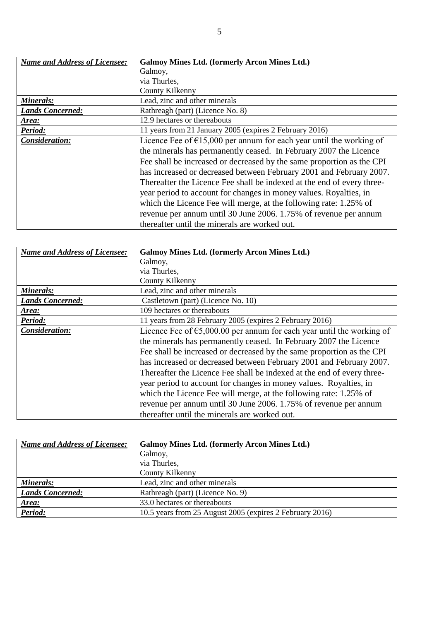| <b>Name and Address of Licensee:</b> | <b>Galmoy Mines Ltd. (formerly Arcon Mines Ltd.)</b>                          |
|--------------------------------------|-------------------------------------------------------------------------------|
|                                      | Galmoy,                                                                       |
|                                      | via Thurles,                                                                  |
|                                      | County Kilkenny                                                               |
| Minerals:                            | Lead, zinc and other minerals                                                 |
| <b>Lands Concerned:</b>              | Rathreagh (part) (Licence No. 8)                                              |
| Area:                                | 12.9 hectares or thereabouts                                                  |
| <b>Period:</b>                       | 11 years from 21 January 2005 (expires 2 February 2016)                       |
| Consideration:                       | Licence Fee of $\epsilon$ 15,000 per annum for each year until the working of |
|                                      | the minerals has permanently ceased. In February 2007 the Licence             |
|                                      | Fee shall be increased or decreased by the same proportion as the CPI         |
|                                      | has increased or decreased between February 2001 and February 2007.           |
|                                      | Thereafter the Licence Fee shall be indexed at the end of every three-        |
|                                      | year period to account for changes in money values. Royalties, in             |
|                                      | which the Licence Fee will merge, at the following rate: 1.25% of             |
|                                      | revenue per annum until 30 June 2006. 1.75% of revenue per annum              |
|                                      | thereafter until the minerals are worked out.                                 |

| <b>Name and Address of Licensee:</b> | <b>Galmoy Mines Ltd. (formerly Arcon Mines Ltd.)</b>                            |
|--------------------------------------|---------------------------------------------------------------------------------|
|                                      | Galmoy,                                                                         |
|                                      | via Thurles,                                                                    |
|                                      | County Kilkenny                                                                 |
| Minerals:                            | Lead, zinc and other minerals                                                   |
| <b>Lands Concerned:</b>              | Castletown (part) (Licence No. 10)                                              |
| Area:                                | 109 hectares or thereabouts                                                     |
| Period:                              | 11 years from 28 February 2005 (expires 2 February 2016)                        |
| Consideration:                       | Licence Fee of $\epsilon$ 5,000.00 per annum for each year until the working of |
|                                      | the minerals has permanently ceased. In February 2007 the Licence               |
|                                      | Fee shall be increased or decreased by the same proportion as the CPI           |
|                                      | has increased or decreased between February 2001 and February 2007.             |
|                                      | Thereafter the Licence Fee shall be indexed at the end of every three-          |
|                                      | year period to account for changes in money values. Royalties, in               |
|                                      | which the Licence Fee will merge, at the following rate: 1.25% of               |
|                                      | revenue per annum until 30 June 2006. 1.75% of revenue per annum                |
|                                      | thereafter until the minerals are worked out.                                   |

| <b>Name and Address of Licensee:</b> | <b>Galmoy Mines Ltd. (formerly Arcon Mines Ltd.)</b>     |
|--------------------------------------|----------------------------------------------------------|
|                                      | Galmoy,                                                  |
|                                      | via Thurles,                                             |
|                                      | County Kilkenny                                          |
| Minerals:                            | Lead, zinc and other minerals                            |
| <b>Lands Concerned:</b>              | Rathreagh (part) (Licence No. 9)                         |
| Area:                                | 33.0 hectares or thereabouts                             |
| Period:                              | 10.5 years from 25 August 2005 (expires 2 February 2016) |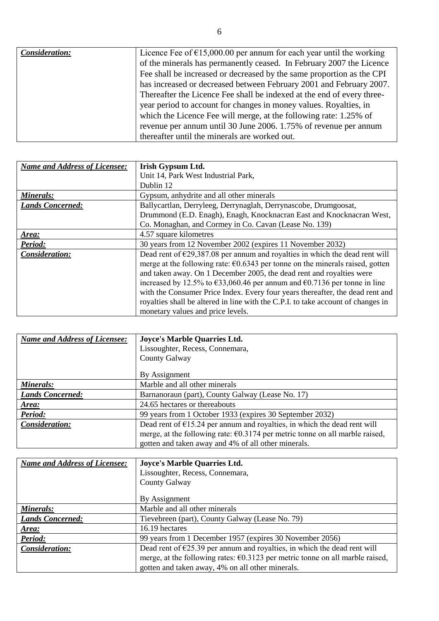| Consideration: | Licence Fee of $\epsilon$ 15,000.00 per annum for each year until the working<br>of the minerals has permanently ceased. In February 2007 the Licence<br>Fee shall be increased or decreased by the same proportion as the CPI<br>has increased or decreased between February 2001 and February 2007.<br>Thereafter the Licence Fee shall be indexed at the end of every three-<br>year period to account for changes in money values. Royalties, in<br>which the Licence Fee will merge, at the following rate: 1.25% of |
|----------------|---------------------------------------------------------------------------------------------------------------------------------------------------------------------------------------------------------------------------------------------------------------------------------------------------------------------------------------------------------------------------------------------------------------------------------------------------------------------------------------------------------------------------|
|                | revenue per annum until 30 June 2006. 1.75% of revenue per annum<br>thereafter until the minerals are worked out.                                                                                                                                                                                                                                                                                                                                                                                                         |

| <b>Name and Address of Licensee:</b> | Irish Gypsum Ltd.                                                                            |
|--------------------------------------|----------------------------------------------------------------------------------------------|
|                                      | Unit 14, Park West Industrial Park,                                                          |
|                                      | Dublin 12                                                                                    |
| Minerals:                            | Gypsum, anhydrite and all other minerals                                                     |
| <b>Lands Concerned:</b>              | Ballycartlan, Derryleeg, Derrynaglah, Derrynascobe, Drumgoosat,                              |
|                                      | Drummond (E.D. Enagh), Enagh, Knocknacran East and Knocknacran West,                         |
|                                      | Co. Monaghan, and Cormey in Co. Cavan (Lease No. 139)                                        |
| Area:                                | 4.57 square kilometres                                                                       |
| Period:                              | 30 years from 12 November 2002 (expires 11 November 2032)                                    |
| Consideration:                       | Dead rent of $\epsilon$ 29,387.08 per annum and royalties in which the dead rent will        |
|                                      | merge at the following rate: $\epsilon$ 0.6343 per tonne on the minerals raised, gotten      |
|                                      | and taken away. On 1 December 2005, the dead rent and royalties were                         |
|                                      | increased by 12.5% to $\epsilon$ 33,060.46 per annum and $\epsilon$ 0.7136 per tonne in line |
|                                      | with the Consumer Price Index. Every four years thereafter, the dead rent and                |
|                                      | royalties shall be altered in line with the C.P.I. to take account of changes in             |
|                                      | monetary values and price levels.                                                            |

| <b>Name and Address of Licensee:</b> | Joyce's Marble Quarries Ltd.                                                           |
|--------------------------------------|----------------------------------------------------------------------------------------|
|                                      | Lissoughter, Recess, Connemara,                                                        |
|                                      | County Galway                                                                          |
|                                      | By Assignment                                                                          |
| Minerals:                            | Marble and all other minerals                                                          |
| <b>Lands Concerned:</b>              | Barnanoraun (part), County Galway (Lease No. 17)                                       |
| Area:                                | 24.65 hectares or thereabouts                                                          |
| Period:                              | 99 years from 1 October 1933 (expires 30 September 2032)                               |
| Consideration:                       | Dead rent of $\epsilon$ 15.24 per annum and royalties, in which the dead rent will     |
|                                      | merge, at the following rate: $\epsilon$ 0.3174 per metric tonne on all marble raised, |
|                                      | gotten and taken away and 4% of all other minerals.                                    |

| Name and Address of Licensee: | Joyce's Marble Quarries Ltd.                                                            |
|-------------------------------|-----------------------------------------------------------------------------------------|
|                               | Lissoughter, Recess, Connemara,                                                         |
|                               | County Galway                                                                           |
|                               |                                                                                         |
|                               | By Assignment                                                                           |
| Minerals:                     | Marble and all other minerals                                                           |
| <b>Lands Concerned:</b>       | Tievebreen (part), County Galway (Lease No. 79)                                         |
| Area:                         | 16.19 hectares                                                                          |
| Period:                       | 99 years from 1 December 1957 (expires 30 November 2056)                                |
| Consideration:                | Dead rent of $\epsilon$ 25.39 per annum and royalties, in which the dead rent will      |
|                               | merge, at the following rates: $\epsilon$ 0.3123 per metric tonne on all marble raised, |
|                               | gotten and taken away, 4% on all other minerals.                                        |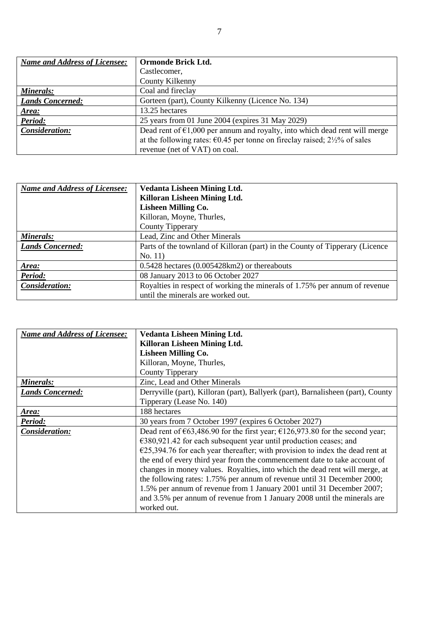| <b>Name and Address of Licensee:</b> | Ormonde Brick Ltd.                                                                   |
|--------------------------------------|--------------------------------------------------------------------------------------|
|                                      | Castlecomer,                                                                         |
|                                      | County Kilkenny                                                                      |
| Minerals:                            | Coal and fireclay                                                                    |
| <b>Lands Concerned:</b>              | Gorteen (part), County Kilkenny (Licence No. 134)                                    |
| Area:                                | 13.25 hectares                                                                       |
| Period:                              | 25 years from 01 June 2004 (expires 31 May 2029)                                     |
| Consideration:                       | Dead rent of $\epsilon$ 1,000 per annum and royalty, into which dead rent will merge |
|                                      | at the following rates: $\epsilon$ 0.45 per tonne on fireclay raised; 2½% of sales   |
|                                      | revenue (net of VAT) on coal.                                                        |

| Name and Address of Licensee: | <b>Vedanta Lisheen Mining Ltd.</b>                                           |
|-------------------------------|------------------------------------------------------------------------------|
|                               | Killoran Lisheen Mining Ltd.                                                 |
|                               | <b>Lisheen Milling Co.</b>                                                   |
|                               | Killoran, Moyne, Thurles,                                                    |
|                               | County Tipperary                                                             |
| Minerals:                     | Lead, Zinc and Other Minerals                                                |
| <b>Lands Concerned:</b>       | Parts of the townland of Killoran (part) in the County of Tipperary (Licence |
|                               | No. 11)                                                                      |
| Area:                         | $0.5428$ hectares $(0.005428 \text{km2})$ or thereabouts                     |
| Period:                       | 08 January 2013 to 06 October 2027                                           |
| Consideration:                | Royalties in respect of working the minerals of 1.75% per annum of revenue   |
|                               | until the minerals are worked out.                                           |

| <b>Name and Address of Licensee:</b> | <b>Vedanta Lisheen Mining Ltd.</b>                                                               |
|--------------------------------------|--------------------------------------------------------------------------------------------------|
|                                      | Killoran Lisheen Mining Ltd.                                                                     |
|                                      | <b>Lisheen Milling Co.</b>                                                                       |
|                                      | Killoran, Moyne, Thurles,                                                                        |
|                                      | <b>County Tipperary</b>                                                                          |
| Minerals:                            | Zinc, Lead and Other Minerals                                                                    |
| <b>Lands Concerned:</b>              | Derryville (part), Killoran (part), Ballyerk (part), Barnalisheen (part), County                 |
|                                      | Tipperary (Lease No. 140)                                                                        |
| Area:                                | 188 hectares                                                                                     |
| Period:                              | 30 years from 7 October 1997 (expires 6 October 2027)                                            |
| Consideration:                       | Dead rent of $\epsilon$ 63,486.90 for the first year; $\epsilon$ 126,973.80 for the second year; |
|                                      | $€380,921.42$ for each subsequent year until production ceases; and                              |
|                                      | $E$ 25,394.76 for each year thereafter; with provision to index the dead rent at                 |
|                                      | the end of every third year from the commencement date to take account of                        |
|                                      | changes in money values. Royalties, into which the dead rent will merge, at                      |
|                                      | the following rates: 1.75% per annum of revenue until 31 December 2000;                          |
|                                      | 1.5% per annum of revenue from 1 January 2001 until 31 December 2007;                            |
|                                      | and 3.5% per annum of revenue from 1 January 2008 until the minerals are                         |
|                                      | worked out.                                                                                      |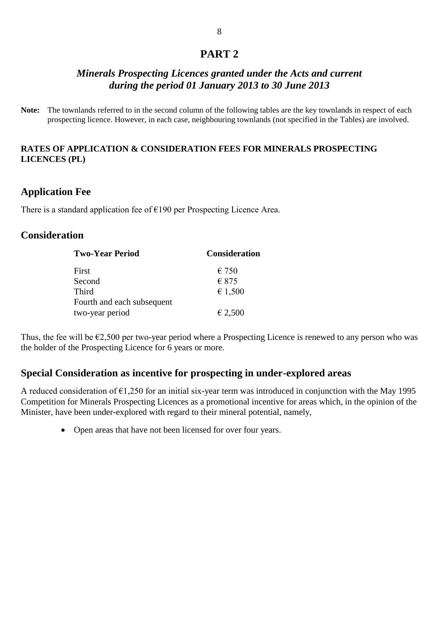# **PART 2**

# *Minerals Prospecting Licences granted under the Acts and current during the period 01 January 2013 to 30 June 2013*

**Note:** The townlands referred to in the second column of the following tables are the key townlands in respect of each prospecting licence. However, in each case, neighbouring townlands (not specified in the Tables) are involved.

### **RATES OF APPLICATION & CONSIDERATION FEES FOR MINERALS PROSPECTING LICENCES (PL)**

# **Application Fee**

There is a standard application fee of  $E$ 190 per Prospecting Licence Area.

## **Consideration**

| <b>Two-Year Period</b>     | <b>Consideration</b> |  |  |  |
|----------------------------|----------------------|--|--|--|
| First                      | $\epsilon$ 750       |  |  |  |
| Second                     | $\epsilon$ 875       |  |  |  |
| <b>Third</b>               | € 1,500              |  |  |  |
| Fourth and each subsequent |                      |  |  |  |
| two-year period            | € 2,500              |  |  |  |

Thus, the fee will be  $\epsilon$ 2,500 per two-year period where a Prospecting Licence is renewed to any person who was the holder of the Prospecting Licence for 6 years or more.

# **Special Consideration as incentive for prospecting in under-explored areas**

A reduced consideration of €1,250 for an initial six-year term was introduced in conjunction with the May 1995 Competition for Minerals Prospecting Licences as a promotional incentive for areas which, in the opinion of the Minister, have been under-explored with regard to their mineral potential, namely,

• Open areas that have not been licensed for over four years.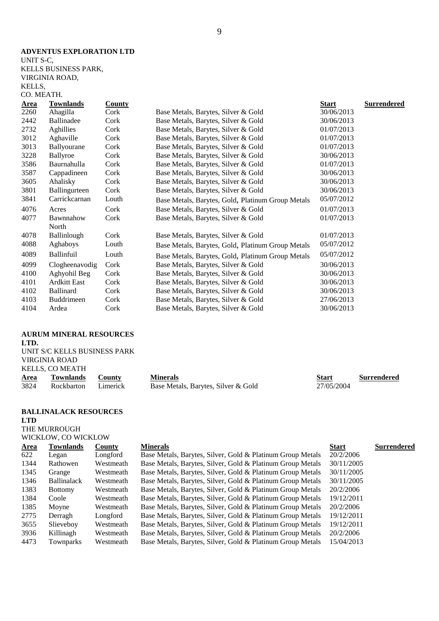### **ADVENTUS EXPLORATION LTD**

UNIT S-C, KELLS BUSINESS PARK, VIRGINIA ROAD, KELLS, CO. MEATH.

| <b>Area</b> | <b>Townlands</b>    | <b>County</b> |                                                   | <b>Start</b> | <b>Surrendered</b> |
|-------------|---------------------|---------------|---------------------------------------------------|--------------|--------------------|
| 2260        | Ahagilla            | Cork          | Base Metals, Barytes, Silver & Gold               | 30/06/2013   |                    |
| 2442        | Ballinadee          | Cork          | Base Metals, Barytes, Silver & Gold               | 30/06/2013   |                    |
| 2732        | Aghillies           | Cork          | Base Metals, Barytes, Silver & Gold               | 01/07/2013   |                    |
| 3012        | Aghaville           | Cork          | Base Metals, Barytes, Silver & Gold               | 01/07/2013   |                    |
| 3013        | Ballyourane         | Cork          | Base Metals, Barytes, Silver & Gold               | 01/07/2013   |                    |
| 3228        | Ballyroe            | Cork          | Base Metals, Barytes, Silver & Gold               | 30/06/2013   |                    |
| 3586        | Baurnahulla         | Cork          | Base Metals, Barytes, Silver & Gold               | 01/07/2013   |                    |
| 3587        | Cappadineen         | Cork          | Base Metals, Barytes, Silver & Gold               | 30/06/2013   |                    |
| 3605        | Ahalisky            | Cork          | Base Metals, Barytes, Silver & Gold               | 30/06/2013   |                    |
| 3801        | Ballingurteen       | Cork          | Base Metals, Barytes, Silver & Gold               | 30/06/2013   |                    |
| 3841        | Carrickcarnan       | Louth         | Base Metals, Barytes, Gold, Platinum Group Metals | 05/07/2012   |                    |
| 4076        | Acres               | Cork          | Base Metals, Barytes, Silver & Gold               | 01/07/2013   |                    |
| 4077        | Bawnnahow           | Cork          | Base Metals, Barytes, Silver & Gold               | 01/07/2013   |                    |
|             | North               |               |                                                   |              |                    |
| 4078        | <b>Ballinlough</b>  | Cork          | Base Metals, Barytes, Silver & Gold               | 01/07/2013   |                    |
| 4088        | Aghaboys            | Louth         | Base Metals, Barytes, Gold, Platinum Group Metals | 05/07/2012   |                    |
| 4089        | <b>Ballinfuil</b>   | Louth         | Base Metals, Barytes, Gold, Platinum Group Metals | 05/07/2012   |                    |
| 4099        | Clogheenavodig      | Cork          | Base Metals, Barytes, Silver & Gold               | 30/06/2013   |                    |
| 4100        | Aghyohil Beg        | Cork          | Base Metals, Barytes, Silver & Gold               | 30/06/2013   |                    |
| 4101        | <b>Ardkitt East</b> | Cork          | Base Metals, Barytes, Silver & Gold               | 30/06/2013   |                    |
| 4102        | <b>Ballinard</b>    | Cork          | Base Metals, Barytes, Silver & Gold               | 30/06/2013   |                    |
| 4103        | Buddrimeen          | Cork          | Base Metals, Barytes, Silver & Gold               | 27/06/2013   |                    |
| 4104        | Ardea               | Cork          | Base Metals, Barytes, Silver & Gold               | 30/06/2013   |                    |
|             |                     |               |                                                   |              |                    |

### **AURUM MINERAL RESOURCES**

**LTD.**

| UNIT S/C KELLS BUSINESS PARK |        |
|------------------------------|--------|
| VIRGINIA ROAD                |        |
| KELLS, CO MEATH              |        |
| Area Townlands               | County |

|      | KELLS, CO MEATH  |               |                                     |            |                    |
|------|------------------|---------------|-------------------------------------|------------|--------------------|
| Area | <b>Townlands</b> | <b>County</b> | Minerals                            | Start      | <b>Surrendered</b> |
| 3824 | Rockbarton       | Limerick      | Base Metals, Barytes, Silver & Gold | 27/05/2004 |                    |

#### **BALLINALACK RESOURCES LTD**

THE MURROUGH WICKLOW, CO WICKLOW

| Townlands          | <b>County</b> | <b>Minerals</b>                                            | <b>Start</b> | <b>Surrendered</b> |
|--------------------|---------------|------------------------------------------------------------|--------------|--------------------|
| Legan              | Longford      | Base Metals, Barytes, Silver, Gold & Platinum Group Metals | 20/2/2006    |                    |
| Rathowen           | Westmeath     | Base Metals, Barytes, Silver, Gold & Platinum Group Metals | 30/11/2005   |                    |
| Grange             | Westmeath     | Base Metals, Barytes, Silver, Gold & Platinum Group Metals | 30/11/2005   |                    |
| <b>Ballinalack</b> | Westmeath     | Base Metals, Barytes, Silver, Gold & Platinum Group Metals | 30/11/2005   |                    |
| <b>Bottomy</b>     | Westmeath     | Base Metals, Barytes, Silver, Gold & Platinum Group Metals | 20/2/2006    |                    |
| Coole              | Westmeath     | Base Metals, Barytes, Silver, Gold & Platinum Group Metals | 19/12/2011   |                    |
| Moyne              | Westmeath     | Base Metals, Barytes, Silver, Gold & Platinum Group Metals | 20/2/2006    |                    |
| Derragh            | Longford      | Base Metals, Barytes, Silver, Gold & Platinum Group Metals | 19/12/2011   |                    |
| Slieveboy          | Westmeath     | Base Metals, Barytes, Silver, Gold & Platinum Group Metals | 19/12/2011   |                    |
| Killinagh          | Westmeath     | Base Metals, Barytes, Silver, Gold & Platinum Group Metals | 20/2/2006    |                    |
| Townparks          | Westmeath     | Base Metals, Barytes, Silver, Gold & Platinum Group Metals | 15/04/2013   |                    |
|                    |               |                                                            |              |                    |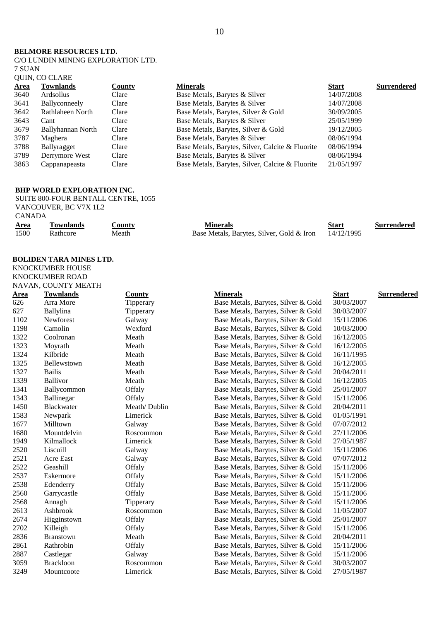#### **BELMORE RESOURCES LTD.**

C/O LUNDIN MINING EXPLORATION LTD. 7 SUAN QUIN, CO CLARE

| <b>Area</b> | <b>Townlands</b>  | County | <b>Minerals</b>                                  | <b>Start</b> | <b>Surrendered</b> |
|-------------|-------------------|--------|--------------------------------------------------|--------------|--------------------|
| 3640        | Ardsollus         | Clare  | Base Metals, Barytes & Silver                    | 14/07/2008   |                    |
| 3641        | Ballyconneely     | Clare  | Base Metals, Barytes & Silver                    | 14/07/2008   |                    |
| 3642        | Rathlaheen North  | Clare  | Base Metals, Barytes, Silver & Gold              | 30/09/2005   |                    |
| 3643        | Cant              | Clare  | Base Metals, Barytes & Silver                    | 25/05/1999   |                    |
| 3679        | Ballyhannan North | Clare  | Base Metals, Barytes, Silver & Gold              | 19/12/2005   |                    |
| 3787        | Maghera           | Clare  | Base Metals, Barytes & Silver                    | 08/06/1994   |                    |
| 3788        | Ballyragget       | Clare  | Base Metals, Barytes, Silver, Calcite & Fluorite | 08/06/1994   |                    |
| 3789        | Derrymore West    | Clare  | Base Metals, Barytes & Silver                    | 08/06/1994   |                    |
| 3863        | Cappanapeasta     | Clare  | Base Metals, Barytes, Silver, Calcite & Fluorite | 21/05/1997   |                    |

### **BHP WORLD EXPLORATION INC.**

SUITE 800-FOUR BENTALL CENTRE, 1055 VANCOUVER, BC V7X 1L2 CANADA

| <u>Area</u> | <b>Townlands</b> | <b>County</b> | Minerals                                             | Start | Surrendered |
|-------------|------------------|---------------|------------------------------------------------------|-------|-------------|
| 1500        | Rathcore         | Meath         | Base Metals, Barytes, Silver, Gold & Iron 14/12/1995 |       |             |

### **BOLIDEN TARA MINES LTD.**

KNOCKUMBER HOUSE KNOCKUMBER ROAD

|             | NAVAN, COUNTY MEATH |               |                                     |              |                    |
|-------------|---------------------|---------------|-------------------------------------|--------------|--------------------|
| <u>Area</u> | <b>Townlands</b>    | <b>County</b> | <b>Minerals</b>                     | <b>Start</b> | <b>Surrendered</b> |
| 626         | Arra More           | Tipperary     | Base Metals, Barytes, Silver & Gold | 30/03/2007   |                    |
| 627         | Ballylina           | Tipperary     | Base Metals, Barytes, Silver & Gold | 30/03/2007   |                    |
| 1102        | Newforest           | Galway        | Base Metals, Barytes, Silver & Gold | 15/11/2006   |                    |
| 1198        | Camolin             | Wexford       | Base Metals, Barytes, Silver & Gold | 10/03/2000   |                    |
| 1322        | Coolronan           | Meath         | Base Metals, Barytes, Silver & Gold | 16/12/2005   |                    |
| 1323        | Moyrath             | Meath         | Base Metals, Barytes, Silver & Gold | 16/12/2005   |                    |
| 1324        | Kilbride            | Meath         | Base Metals, Barytes, Silver & Gold | 16/11/1995   |                    |
| 1325        | Bellewstown         | Meath         | Base Metals, Barytes, Silver & Gold | 16/12/2005   |                    |
| 1327        | <b>Bailis</b>       | Meath         | Base Metals, Barytes, Silver & Gold | 20/04/2011   |                    |
| 1339        | Ballivor            | Meath         | Base Metals, Barytes, Silver & Gold | 16/12/2005   |                    |
| 1341        | Ballycommon         | Offaly        | Base Metals, Barytes, Silver & Gold | 25/01/2007   |                    |
| 1343        | Ballinegar          | Offaly        | Base Metals, Barytes, Silver & Gold | 15/11/2006   |                    |
| 1450        | Blackwater          | Meath/Dublin  | Base Metals, Barytes, Silver & Gold | 20/04/2011   |                    |
| 1583        | Newpark             | Limerick      | Base Metals, Barytes, Silver & Gold | 01/05/1991   |                    |
| 1677        | Milltown            | Galway        | Base Metals, Barytes, Silver & Gold | 07/07/2012   |                    |
| 1680        | Mountdelvin         | Roscommon     | Base Metals, Barytes, Silver & Gold | 27/11/2006   |                    |
| 1949        | Kilmallock          | Limerick      | Base Metals, Barytes, Silver & Gold | 27/05/1987   |                    |
| 2520        | Liscuill            | Galway        | Base Metals, Barytes, Silver & Gold | 15/11/2006   |                    |
| 2521        | Acre East           | Galway        | Base Metals, Barytes, Silver & Gold | 07/07/2012   |                    |
| 2522        | Geashill            | Offaly        | Base Metals, Barytes, Silver & Gold | 15/11/2006   |                    |
| 2537        | Eskermore           | Offaly        | Base Metals, Barytes, Silver & Gold | 15/11/2006   |                    |
| 2538        | Edenderry           | Offaly        | Base Metals, Barytes, Silver & Gold | 15/11/2006   |                    |
| 2560        | Garrycastle         | Offaly        | Base Metals, Barytes, Silver & Gold | 15/11/2006   |                    |
| 2568        | Annagh              | Tipperary     | Base Metals, Barytes, Silver & Gold | 15/11/2006   |                    |
| 2613        | Ashbrook            | Roscommon     | Base Metals, Barytes, Silver & Gold | 11/05/2007   |                    |
| 2674        | Higginstown         | Offaly        | Base Metals, Barytes, Silver & Gold | 25/01/2007   |                    |
| 2702        | Killeigh            | Offaly        | Base Metals, Barytes, Silver & Gold | 15/11/2006   |                    |
| 2836        | <b>Branstown</b>    | Meath         | Base Metals, Barytes, Silver & Gold | 20/04/2011   |                    |
| 2861        | Rathrobin           | Offaly        | Base Metals, Barytes, Silver & Gold | 15/11/2006   |                    |
| 2887        | Castlegar           | Galway        | Base Metals, Barytes, Silver & Gold | 15/11/2006   |                    |
| 3059        | <b>Brackloon</b>    | Roscommon     | Base Metals, Barytes, Silver & Gold | 30/03/2007   |                    |
| 3249        | Mountcoote          | Limerick      | Base Metals, Barytes, Silver & Gold | 27/05/1987   |                    |
|             |                     |               |                                     |              |                    |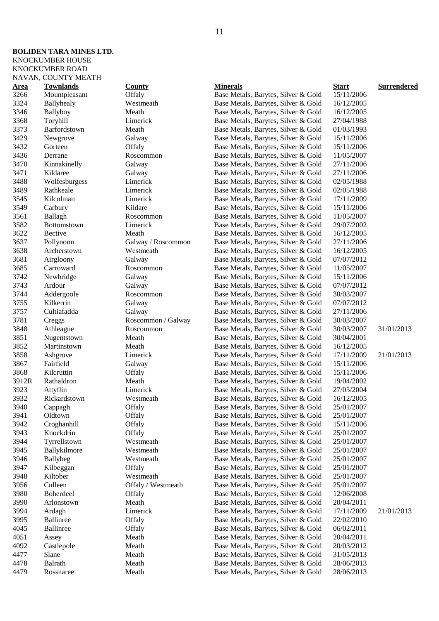### **BOLIDEN TARA MINES LTD.** KNOCKUMBER HOUSE

KNOCKUMBER ROAD

|              | NAVAN, COUNTY MEATH     |                    |                                                                            |                          |                    |
|--------------|-------------------------|--------------------|----------------------------------------------------------------------------|--------------------------|--------------------|
| <u>Area</u>  | <b>Townlands</b>        | <b>County</b>      | <b>Minerals</b>                                                            | <b>Start</b>             | <b>Surrendered</b> |
| 3266         | Mountpleasant           | Offaly             | Base Metals, Barytes, Silver & Gold                                        | 15/11/2006               |                    |
| 3324         | Ballyhealy              | Westmeath          | Base Metals, Barytes, Silver & Gold                                        | 16/12/2005               |                    |
| 3346         | Ballyboy                | Meath              | Base Metals, Barytes, Silver & Gold                                        | 16/12/2005               |                    |
| 3368         | Toryhill                | Limerick           | Base Metals, Barytes, Silver & Gold                                        | 27/04/1988               |                    |
| 3373         | Barfordstown            | Meath              | Base Metals, Barytes, Silver & Gold                                        | 01/03/1993               |                    |
| 3429         | Newgrove                | Galway             | Base Metals, Barytes, Silver & Gold                                        | 15/11/2006               |                    |
| 3432         | Gorteen                 | Offaly             | Base Metals, Barytes, Silver & Gold                                        | 15/11/2006               |                    |
| 3436         | Derrane                 | Roscommon          | Base Metals, Barytes, Silver & Gold                                        | 11/05/2007               |                    |
| 3470         | Kinnakinelly            | Galway             | Base Metals, Barytes, Silver & Gold                                        | 27/11/2006               |                    |
| 3471         | Kildaree                | Galway             | Base Metals, Barytes, Silver & Gold                                        | 27/11/2006               |                    |
| 3488         | Wolfesburgess           | Limerick           | Base Metals, Barytes, Silver & Gold                                        | 02/05/1988               |                    |
| 3489         | Rathkeale               | Limerick           | Base Metals, Barytes, Silver & Gold                                        | 02/05/1988               |                    |
| 3545         | Kilcolman               | Limerick           | Base Metals, Barytes, Silver & Gold                                        | 17/11/2009               |                    |
| 3549         | Carbury                 | Kildare            | Base Metals, Barytes, Silver & Gold                                        | 15/11/2006               |                    |
| 3561         | Ballagh                 | Roscommon          | Base Metals, Barytes, Silver & Gold                                        | 11/05/2007               |                    |
| 3582         | Bottomstown             | Limerick           | Base Metals, Barytes, Silver & Gold                                        | 29/07/2002               |                    |
| 3622         | Bective                 | Meath              | Base Metals, Barytes, Silver & Gold                                        | 16/12/2005               |                    |
| 3637         | Pollynoon               | Galway / Roscommon | Base Metals, Barytes, Silver & Gold                                        | 27/11/2006               |                    |
| 3638         | Archerstown             | Westmeath          | Base Metals, Barytes, Silver & Gold                                        | 16/12/2005               |                    |
| 3681         | Airgloony               | Galway             | Base Metals, Barytes, Silver & Gold                                        | 07/07/2012               |                    |
| 3685         | Carroward               | Roscommon          | Base Metals, Barytes, Silver & Gold                                        | 11/05/2007               |                    |
| 3742         | Newbridge               | Galway             | Base Metals, Barytes, Silver & Gold                                        | 15/11/2006               |                    |
| 3743         | Ardour                  | Galway             | Base Metals, Barytes, Silver & Gold                                        | 07/07/2012               |                    |
| 3744         | Addergoole              | Roscommon          | Base Metals, Barytes, Silver & Gold                                        | 30/03/2007               |                    |
| 3755         | Kilkerrin               | Galway             | Base Metals, Barytes, Silver & Gold                                        | 07/07/2012               |                    |
| 3757         | Cultiafadda             | Galway             | Base Metals, Barytes, Silver & Gold                                        | 27/11/2006               |                    |
| 3781         | Creggs                  | Roscommon / Galway | Base Metals, Barytes, Silver & Gold                                        | 30/03/2007               |                    |
| 3848         | Athleague               | Roscommon          | Base Metals, Barytes, Silver & Gold                                        | 30/03/2007               | 31/01/2013         |
| 3851         | Nugentstown             | Meath              | Base Metals, Barytes, Silver & Gold                                        | 30/04/2001               |                    |
| 3852         | Martinstown             | Meath              | Base Metals, Barytes, Silver & Gold                                        | 16/12/2005               |                    |
| 3858         | Ashgrove                | Limerick           | Base Metals, Barytes, Silver & Gold                                        | 17/11/2009               | 21/01/2013         |
| 3867<br>3868 | Fairfield<br>Kilcruttin | Galway             | Base Metals, Barytes, Silver & Gold                                        | 15/11/2006               |                    |
| 3912R        | Rathaldron              | Offaly<br>Meath    | Base Metals, Barytes, Silver & Gold                                        | 15/11/2006<br>19/04/2002 |                    |
| 3923         | Attyflin                | Limerick           | Base Metals, Barytes, Silver & Gold<br>Base Metals, Barytes, Silver & Gold | 27/05/2004               |                    |
| 3932         | Rickardstown            | Westmeath          | Base Metals, Barytes, Silver & Gold                                        | 16/12/2005               |                    |
| 3940         | Cappagh                 | Offaly             | Base Metals, Barytes, Silver & Gold                                        | 25/01/2007               |                    |
| 3941         | Oldtown                 | Offaly             | Base Metals, Barytes, Silver & Gold                                        | 25/01/2007               |                    |
| 3942         | Croghanhill             | Offaly             | Base Metals, Barytes, Silver & Gold                                        | 15/11/2006               |                    |
| 3943         | Knockdrin               | Offaly             | Base Metals, Barytes, Silver & Gold                                        | 25/01/2007               |                    |
| 3944         | Tyrrellstown            | Westmeath          | Base Metals, Barytes, Silver & Gold                                        | 25/01/2007               |                    |
| 3945         | Ballykilmore            | Westmeath          | Base Metals, Barytes, Silver & Gold                                        | 25/01/2007               |                    |
| 3946         | Ballybeg                | Westmeath          | Base Metals, Barytes, Silver & Gold                                        | 25/01/2007               |                    |
| 3947         | Kilbeggan               | Offaly             | Base Metals, Barytes, Silver & Gold                                        | 25/01/2007               |                    |
| 3948         | Kiltober                | Westmeath          | Base Metals, Barytes, Silver & Gold                                        | 25/01/2007               |                    |
| 3956         | Culleen                 | Offaly / Westmeath | Base Metals, Barytes, Silver & Gold                                        | 25/01/2007               |                    |
| 3980         | Boherdeel               | Offaly             | Base Metals, Barytes, Silver & Gold                                        | 12/06/2008               |                    |
| 3990         | Arlonstown              | Meath              | Base Metals, Barytes, Silver & Gold                                        | 20/04/2011               |                    |
| 3994         | Ardagh                  | Limerick           | Base Metals, Barytes, Silver & Gold                                        | 17/11/2009               | 21/01/2013         |
| 3995         | Ballinree               | Offaly             | Base Metals, Barytes, Silver & Gold                                        | 22/02/2010               |                    |
| 4045         | <b>Ballinree</b>        | Offaly             | Base Metals, Barytes, Silver & Gold                                        | 06/02/2011               |                    |
| 4051         | Assey                   | Meath              | Base Metals, Barytes, Silver & Gold                                        | 20/04/2011               |                    |
| 4092         | Castlepole              | Meath              | Base Metals, Barytes, Silver & Gold                                        | 20/03/2012               |                    |
| 4477         | Slane                   | Meath              | Base Metals, Barytes, Silver & Gold                                        | 31/05/2013               |                    |
| 4478         | <b>Balrath</b>          | Meath              | Base Metals, Barytes, Silver & Gold                                        | 28/06/2013               |                    |
| 4479         | Rossnaree               | Meath              | Base Metals, Barytes, Silver & Gold                                        | 28/06/2013               |                    |
|              |                         |                    |                                                                            |                          |                    |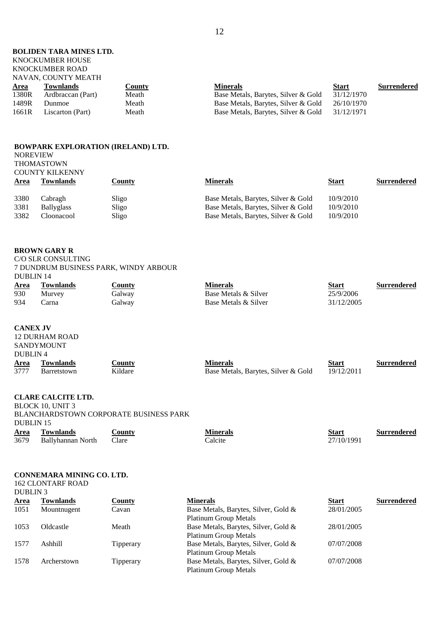### **BOLIDEN TARA MINES LTD.**

#### KNOCKUMBER HOUSE KNOCKUMBER ROAD

### NAVAN, COUNTY MEATH

| INTO AIN, COUNT I MEATH |               |                                     |              |             |
|-------------------------|---------------|-------------------------------------|--------------|-------------|
| <b>Townlands</b>        | <u>County</u> | <b>Minerals</b>                     | <b>Start</b> | Surrendered |
| Ardbraccan (Part)       | Meath         | Base Metals, Barytes, Silver & Gold | 31/12/1970   |             |
| Dunmoe                  | Meath         | Base Metals, Barytes, Silver & Gold | 26/10/1970   |             |
| Liscarton (Part)        | Meath         | Base Metals, Barytes, Silver & Gold | 31/12/1971   |             |
|                         |               |                                     |              |             |

#### **BOWPARK EXPLORATION (IRELAND) LTD.** NOREVIEW THOMASTOWN

|             | <b>COUNTY KILKENNY</b> |        |                                     |              |                    |
|-------------|------------------------|--------|-------------------------------------|--------------|--------------------|
| <b>Area</b> | Townlands              | County | <b>Minerals</b>                     | <u>Start</u> | <b>Surrendered</b> |
| 3380        | Cabragh                | Sligo  | Base Metals, Barytes, Silver & Gold | 10/9/2010    |                    |
| 3381        | <b>Ballyglass</b>      | Sligo  | Base Metals, Barytes, Silver & Gold | 10/9/2010    |                    |
| 3382        | Cloonacool             | Sligo  | Base Metals, Barytes, Silver & Gold | 10/9/2010    |                    |

#### **BROWN GARY R**

C/O SLR CONSULTING 7 DUNDRUM BUSINESS PARK, WINDY ARBOUR DUBLIN 14

| Area | Townlands | <b>County</b> | Minerals             | Start      | <b>Surrendered</b> |
|------|-----------|---------------|----------------------|------------|--------------------|
| 930  | Murvey    | <b>Galway</b> | Base Metals & Silver | 25/9/2006  |                    |
| 934  | earna     | Jalway        | Base Metals & Silver | 31/12/2005 |                    |

#### **CANEX JV**

|                     | <b>12 DURHAM ROAD</b> |               |                                     |              |                    |
|---------------------|-----------------------|---------------|-------------------------------------|--------------|--------------------|
|                     | <b>SANDYMOUNT</b>     |               |                                     |              |                    |
| DUBLIN <sub>4</sub> |                       |               |                                     |              |                    |
| <b>Area</b>         | Townlands             | <u>County</u> | <b>Minerals</b>                     | <b>Start</b> | <b>Surrendered</b> |
| 3777                | <b>Barretstown</b>    | Kildare       | Base Metals, Barytes, Silver & Gold | 19/12/2011   |                    |

#### **CLARE CALCITE LTD.**

BLOCK 10, UNIT 3 BLANCHARDSTOWN CORPORATE BUSINESS PARK DUBLIN 15 **Area Townlands County Minerals Start Surrendered** 3679 Ballyhannan North Clare Calcite 27/10/1991

| Calcite |  |
|---------|--|
|         |  |

#### **CONNEMARA MINING CO. LTD.**

162 CLONTARF ROAD DUBLIN 3

| <b>Area</b> | Townlands   | <b>County</b>    | <b>Minerals</b>                      | <b>Start</b> | <b>Surrendered</b> |
|-------------|-------------|------------------|--------------------------------------|--------------|--------------------|
| 1051        | Mountnugent | Cavan            | Base Metals, Barytes, Silver, Gold & | 28/01/2005   |                    |
|             |             |                  | <b>Platinum Group Metals</b>         |              |                    |
| 1053        | Oldcastle   | Meath            | Base Metals, Barytes, Silver, Gold & | 28/01/2005   |                    |
|             |             |                  | <b>Platinum Group Metals</b>         |              |                    |
| 1577        | Ashhill     | <b>Tipperary</b> | Base Metals, Barytes, Silver, Gold & | 07/07/2008   |                    |
|             |             |                  | Platinum Group Metals                |              |                    |
| 1578        | Archerstown | Tipperary        | Base Metals, Barytes, Silver, Gold & | 07/07/2008   |                    |
|             |             |                  | <b>Platinum Group Metals</b>         |              |                    |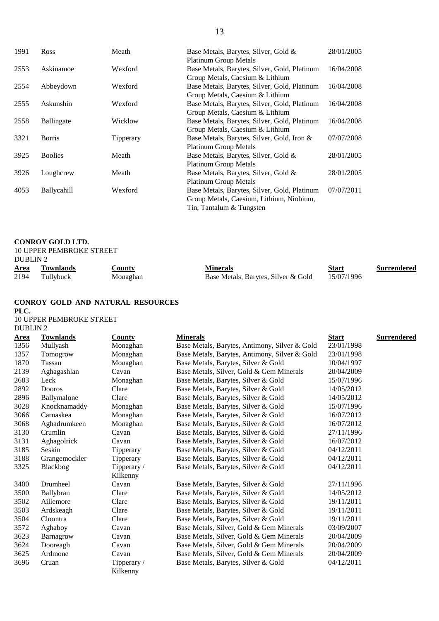| 1991 | Ross           | Meath     | Base Metals, Barytes, Silver, Gold &         | 28/01/2005 |
|------|----------------|-----------|----------------------------------------------|------------|
|      |                |           | <b>Platinum Group Metals</b>                 |            |
| 2553 | Askinamoe      | Wexford   | Base Metals, Barytes, Silver, Gold, Platinum | 16/04/2008 |
|      |                |           | Group Metals, Caesium & Lithium              |            |
| 2554 | Abbeydown      | Wexford   | Base Metals, Barytes, Silver, Gold, Platinum | 16/04/2008 |
|      |                |           | Group Metals, Caesium & Lithium              |            |
| 2555 | Askunshin      | Wexford   | Base Metals, Barytes, Silver, Gold, Platinum | 16/04/2008 |
|      |                |           | Group Metals, Caesium & Lithium              |            |
| 2558 | Ballingate     | Wicklow   | Base Metals, Barytes, Silver, Gold, Platinum | 16/04/2008 |
|      |                |           | Group Metals, Caesium & Lithium              |            |
| 3321 | <b>Borris</b>  | Tipperary | Base Metals, Barytes, Silver, Gold, Iron &   | 07/07/2008 |
|      |                |           | <b>Platinum Group Metals</b>                 |            |
| 3925 | <b>Boolies</b> | Meath     | Base Metals, Barytes, Silver, Gold &         | 28/01/2005 |
|      |                |           | <b>Platinum Group Metals</b>                 |            |
| 3926 | Loughcrew      | Meath     | Base Metals, Barytes, Silver, Gold &         | 28/01/2005 |
|      |                |           | <b>Platinum Group Metals</b>                 |            |
| 4053 | Ballycahill    | Wexford   | Base Metals, Barytes, Silver, Gold, Platinum | 07/07/2011 |
|      |                |           | Group Metals, Caesium, Lithium, Niobium,     |            |
|      |                |           | Tin, Tantalum & Tungsten                     |            |
|      |                |           |                                              |            |

#### **CONROY GOLD LTD.**

|                     | <b>10 UPPER PEMBROKE STREET</b> |          |                                     |            |                    |
|---------------------|---------------------------------|----------|-------------------------------------|------------|--------------------|
| DUBLIN <sub>2</sub> |                                 |          |                                     |            |                    |
| <b>Area</b>         | Townlands                       | County   | <b>Minerals</b>                     | Start      | <b>Surrendered</b> |
| 2194                | Tullybuck                       | Monaghan | Base Metals, Barytes, Silver & Gold | 15/07/1996 |                    |

### **CONROY GOLD AND NATURAL RESOURCES**

**PLC.** 10 UPPER PEMBROKE STREET

3696 Cruan Tipperary /

Kilkenny

| <b>DUBLIN2</b> |                  |             |                                               |              |                    |
|----------------|------------------|-------------|-----------------------------------------------|--------------|--------------------|
| <b>Area</b>    | <b>Townlands</b> | County      | <b>Minerals</b>                               | <b>Start</b> | <b>Surrendered</b> |
| 1356           | Mullyash         | Monaghan    | Base Metals, Barytes, Antimony, Silver & Gold | 23/01/1998   |                    |
| 1357           | Tomogrow         | Monaghan    | Base Metals, Barytes, Antimony, Silver & Gold | 23/01/1998   |                    |
| 1870           | Tassan           | Monaghan    | Base Metals, Barytes, Silver & Gold           | 10/04/1997   |                    |
| 2139           | Aghagashlan      | Cavan       | Base Metals, Silver, Gold & Gem Minerals      | 20/04/2009   |                    |
| 2683           | Leck             | Monaghan    | Base Metals, Barytes, Silver & Gold           | 15/07/1996   |                    |
| 2892           | <b>Dooros</b>    | Clare       | Base Metals, Barytes, Silver & Gold           | 14/05/2012   |                    |
| 2896           | Ballymalone      | Clare       | Base Metals, Barytes, Silver & Gold           | 14/05/2012   |                    |
| 3028           | Knocknamaddy     | Monaghan    | Base Metals, Barytes, Silver & Gold           | 15/07/1996   |                    |
| 3066           | Carnaskea        | Monaghan    | Base Metals, Barytes, Silver & Gold           | 16/07/2012   |                    |
| 3068           | Aghadrumkeen     | Monaghan    | Base Metals, Barytes, Silver & Gold           | 16/07/2012   |                    |
| 3130           | Crumlin          | Cavan       | Base Metals, Barytes, Silver & Gold           | 27/11/1996   |                    |
| 3131           | Aghagolrick      | Cavan       | Base Metals, Barytes, Silver & Gold           | 16/07/2012   |                    |
| 3185           | Seskin           | Tipperary   | Base Metals, Barytes, Silver & Gold           | 04/12/2011   |                    |
| 3188           | Grangemockler    | Tipperary   | Base Metals, Barytes, Silver & Gold           | 04/12/2011   |                    |
| 3325           | <b>Blackbog</b>  | Tipperary / | Base Metals, Barytes, Silver & Gold           | 04/12/2011   |                    |
|                |                  | Kilkenny    |                                               |              |                    |
| 3400           | Drumheel         | Cavan       | Base Metals, Barytes, Silver & Gold           | 27/11/1996   |                    |
| 3500           | Ballybran        | Clare       | Base Metals, Barytes, Silver & Gold           | 14/05/2012   |                    |
| 3502           | Aillemore        | Clare       | Base Metals, Barytes, Silver & Gold           | 19/11/2011   |                    |
| 3503           | Ardskeagh        | Clare       | Base Metals, Barytes, Silver & Gold           | 19/11/2011   |                    |
| 3504           | Cloontra         | Clare       | Base Metals, Barytes, Silver & Gold           | 19/11/2011   |                    |
| 3572           | Aghaboy          | Cavan       | Base Metals, Silver, Gold & Gem Minerals      | 03/09/2007   |                    |
| 3623           | Barnagrow        | Cavan       | Base Metals, Silver, Gold & Gem Minerals      | 20/04/2009   |                    |
| 3624           | Dooreagh         | Cavan       | Base Metals, Silver, Gold & Gem Minerals      | 20/04/2009   |                    |
| 3625           | Ardmone          | Cavan       | Base Metals, Silver, Gold & Gem Minerals      | 20/04/2009   |                    |

Base Metals, Barytes, Silver & Gold 04/12/2011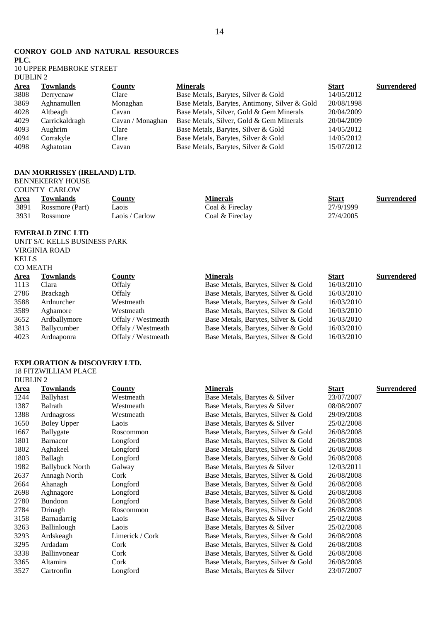### **CONROY GOLD AND NATURAL RESOURCES**

**PLC.**

#### 10 UPPER PEMBROKE STREET DUBLIN 2

| <u>Area</u> | <b>Townlands</b> | County           | <b>Minerals</b>                               | <b>Start</b> | <b>Surrendered</b> |
|-------------|------------------|------------------|-----------------------------------------------|--------------|--------------------|
| 3808        | Derrycnaw        | Clare            | Base Metals, Barytes, Silver & Gold           | 14/05/2012   |                    |
| 3869        | Aghnamullen      | Monaghan         | Base Metals, Barytes, Antimony, Silver & Gold | 20/08/1998   |                    |
| 4028        | Altbeagh         | Cavan            | Base Metals, Silver, Gold & Gem Minerals      | 20/04/2009   |                    |
| 4029        | Carrickaldragh   | Cavan / Monaghan | Base Metals, Silver, Gold & Gem Minerals      | 20/04/2009   |                    |
| 4093        | Aughrim          | Clare            | Base Metals, Barytes, Silver & Gold           | 14/05/2012   |                    |
| 4094        | Corrakyle        | Clare            | Base Metals, Barytes, Silver & Gold           | 14/05/2012   |                    |
| 4098        | Aghatotan        | Cavan            | Base Metals, Barytes, Silver & Gold           | 15/07/2012   |                    |

### **DAN MORRISSEY (IRELAND) LTD.**

BENNEKERRY HOUSE COUNTY CARLOW

| Area | <b>Townlands</b> | $\mathsf{Countv}$<br>$\sim$ $\sim$ | Minerals        | <b>Start</b> | <b>Surrendered</b> |
|------|------------------|------------------------------------|-----------------|--------------|--------------------|
| 3891 | Rossmore (Part)  | Laois                              | Coal & Fireclay | 27/9/1999    |                    |
| 3931 | Rossmore         | Laois / Carlow                     | Coal & Fireclay | 27/4/2005    |                    |

### **EMERALD ZINC LTD**

UNIT S/C KELLS BUSINESS PARK VIRGINIA ROAD KELLS CO MEATH

| <b>Area</b> | <b>Townlands</b> | <b>County</b>      | <b>Minerals</b>                     | <b>Start</b> | <b>Surrendered</b> |
|-------------|------------------|--------------------|-------------------------------------|--------------|--------------------|
| 1113        | Clara            | Offaly             | Base Metals, Barytes, Silver & Gold | 16/03/2010   |                    |
| 2786        | Brackagh         | Offaly             | Base Metals, Barytes, Silver & Gold | 16/03/2010   |                    |
| 3588        | Ardnurcher       | Westmeath          | Base Metals, Barytes, Silver & Gold | 16/03/2010   |                    |
| 3589        | Aghamore         | Westmeath          | Base Metals, Barytes, Silver & Gold | 16/03/2010   |                    |
| 3652        | Ardballymore     | Offaly / Westmeath | Base Metals, Barytes, Silver & Gold | 16/03/2010   |                    |
| 3813        | Ballycumber      | Offaly / Westmeath | Base Metals, Barytes, Silver & Gold | 16/03/2010   |                    |
| 4023        | Ardnaponra       | Offaly / Westmeath | Base Metals, Barytes, Silver & Gold | 16/03/2010   |                    |
|             |                  |                    |                                     |              |                    |

## **EXPLORATION & DISCOVERY LTD.**

18 FITZWILLIAM PLACE DUBLIN 2

| Area | Townlands              | <b>County</b>   | <b>Minerals</b>                     | <b>Start</b> | Surrendered |
|------|------------------------|-----------------|-------------------------------------|--------------|-------------|
| 1244 | <b>Ballyhast</b>       | Westmeath       | Base Metals, Barytes & Silver       | 23/07/2007   |             |
| 1387 | Balrath                | Westmeath       | Base Metals, Barytes & Silver       | 08/08/2007   |             |
| 1388 | Ardnagross             | Westmeath       | Base Metals, Barytes, Silver & Gold | 29/09/2008   |             |
| 1650 | <b>Boley Upper</b>     | Laois           | Base Metals, Barytes & Silver       | 25/02/2008   |             |
| 1667 | Ballygate              | Roscommon       | Base Metals, Barytes, Silver & Gold | 26/08/2008   |             |
| 1801 | Barnacor               | Longford        | Base Metals, Barytes, Silver & Gold | 26/08/2008   |             |
| 1802 | Aghakeel               | Longford        | Base Metals, Barytes, Silver & Gold | 26/08/2008   |             |
| 1803 | Ballagh                | Longford        | Base Metals, Barytes, Silver & Gold | 26/08/2008   |             |
| 1982 | <b>Ballybuck North</b> | Galway          | Base Metals, Barytes & Silver       | 12/03/2011   |             |
| 2637 | Annagh North           | Cork            | Base Metals, Barytes, Silver & Gold | 26/08/2008   |             |
| 2664 | Ahanagh                | Longford        | Base Metals, Barytes, Silver & Gold | 26/08/2008   |             |
| 2698 | Aghnagore              | Longford        | Base Metals, Barytes, Silver & Gold | 26/08/2008   |             |
| 2780 | <b>Bundoon</b>         | Longford        | Base Metals, Barytes, Silver & Gold | 26/08/2008   |             |
| 2784 | Drinagh                | Roscommon       | Base Metals, Barytes, Silver & Gold | 26/08/2008   |             |
| 3158 | Barnadarrig            | Laois           | Base Metals, Barytes & Silver       | 25/02/2008   |             |
| 3263 | Ballinlough            | Laois           | Base Metals, Barytes & Silver       | 25/02/2008   |             |
| 3293 | Ardskeagh              | Limerick / Cork | Base Metals, Barytes, Silver & Gold | 26/08/2008   |             |
| 3295 | Ardadam                | Cork            | Base Metals, Barytes, Silver & Gold | 26/08/2008   |             |
| 3338 | Ballinvonear           | Cork            | Base Metals, Barytes, Silver & Gold | 26/08/2008   |             |
| 3365 | Altamira               | Cork            | Base Metals, Barytes, Silver & Gold | 26/08/2008   |             |
| 3527 | Cartronfin             | Longford        | Base Metals, Barytes & Silver       | 23/07/2007   |             |
|      |                        |                 |                                     |              |             |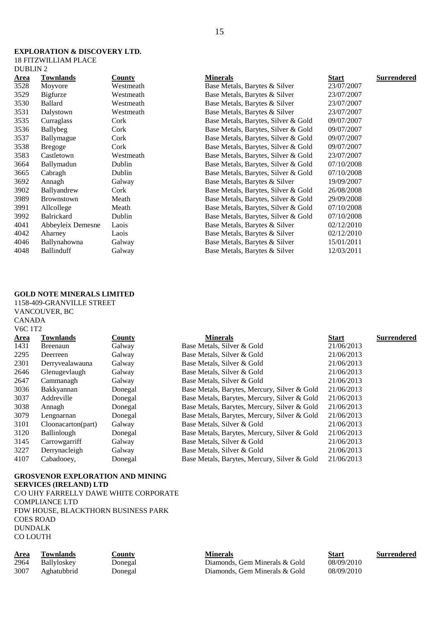#### **EXPLORATION & DISCOVERY LTD.**  18 FITZWILLIAM PLACE DUBLIN 2

| <u>Area</u> | <b>Townlands</b>  | County    | <b>Minerals</b>                     | Start      | Surrendered |
|-------------|-------------------|-----------|-------------------------------------|------------|-------------|
| 3528        | Moyvore           | Westmeath | Base Metals, Barytes & Silver       | 23/07/2007 |             |
| 3529        | Bigfurze          | Westmeath | Base Metals, Barytes & Silver       | 23/07/2007 |             |
| 3530        | <b>Ballard</b>    | Westmeath | Base Metals, Barytes & Silver       | 23/07/2007 |             |
| 3531        | Dalystown         | Westmeath | Base Metals, Barytes & Silver       | 23/07/2007 |             |
| 3535        | Curraglass        | Cork      | Base Metals, Barytes, Silver & Gold | 09/07/2007 |             |
| 3536        | Ballybeg          | Cork      | Base Metals, Barytes, Silver & Gold | 09/07/2007 |             |
| 3537        | Ballymague        | Cork      | Base Metals, Barytes, Silver & Gold | 09/07/2007 |             |
| 3538        | <b>Bregoge</b>    | Cork      | Base Metals, Barytes, Silver & Gold | 09/07/2007 |             |
| 3583        | Castletown        | Westmeath | Base Metals, Barytes, Silver & Gold | 23/07/2007 |             |
| 3664        | Ballymadun        | Dublin    | Base Metals, Barytes, Silver & Gold | 07/10/2008 |             |
| 3665        | Cabragh           | Dublin    | Base Metals, Barytes, Silver & Gold | 07/10/2008 |             |
| 3692        | Annagh            | Galway    | Base Metals, Barytes & Silver       | 19/09/2007 |             |
| 3902        | Ballyandrew       | Cork      | Base Metals, Barytes, Silver & Gold | 26/08/2008 |             |
| 3989        | <b>Brownstown</b> | Meath     | Base Metals, Barytes, Silver & Gold | 29/09/2008 |             |
| 3991        | Allcollege        | Meath     | Base Metals, Barytes, Silver & Gold | 07/10/2008 |             |
| 3992        | <b>Balrickard</b> | Dublin    | Base Metals, Barytes, Silver & Gold | 07/10/2008 |             |
| 4041        | Abbeyleix Demesne | Laois     | Base Metals, Barytes & Silver       | 02/12/2010 |             |
| 4042        | Aharney           | Laois     | Base Metals, Barytes & Silver       | 02/12/2010 |             |
| 4046        | Ballynahowna      | Galway    | Base Metals, Barytes & Silver       | 15/01/2011 |             |
| 4048        | <b>Ballinduff</b> | Galway    | Base Metals, Barytes & Silver       | 12/03/2011 |             |
|             |                   |           |                                     |            |             |

### **GOLD NOTE MINERALS LIMITED**

1158-409-GRANVILLE STREET VANCOUVER, BC CANADA V6C 1T2

|             | V6C 112            |         |                                              |              |                    |  |  |
|-------------|--------------------|---------|----------------------------------------------|--------------|--------------------|--|--|
| <b>Area</b> | Townlands          | County  | <b>Minerals</b>                              | <b>Start</b> | <b>Surrendered</b> |  |  |
| 1431        | <b>Breenaun</b>    | Galway  | Base Metals, Silver & Gold                   | 21/06/2013   |                    |  |  |
| 2295        | Deerreen           | Galway  | Base Metals, Silver & Gold                   | 21/06/2013   |                    |  |  |
| 2301        | Derryvealawauna    | Galway  | Base Metals, Silver & Gold                   | 21/06/2013   |                    |  |  |
| 2646        | Glenugevlaugh      | Galway  | Base Metals, Silver & Gold                   | 21/06/2013   |                    |  |  |
| 2647        | Cammanagh          | Galway  | Base Metals, Silver & Gold                   | 21/06/2013   |                    |  |  |
| 3036        | Bakkyannan         | Donegal | Base Metals, Barytes, Mercury, Silver & Gold | 21/06/2013   |                    |  |  |
| 3037        | Addreville         | Donegal | Base Metals, Barytes, Mercury, Silver & Gold | 21/06/2013   |                    |  |  |
| 3038        | Annagh             | Donegal | Base Metals, Barytes, Mercury, Silver & Gold | 21/06/2013   |                    |  |  |
| 3079        | Lengnarnan         | Donegal | Base Metals, Barytes, Mercury, Silver & Gold | 21/06/2013   |                    |  |  |
| 3101        | Cloonacarton(part) | Galway  | Base Metals, Silver & Gold                   | 21/06/2013   |                    |  |  |
| 3120        | <b>Ballinlough</b> | Donegal | Base Metals, Barytes, Mercury, Silver & Gold | 21/06/2013   |                    |  |  |
| 3145        | Carrowgarriff      | Galway  | Base Metals, Silver & Gold                   | 21/06/2013   |                    |  |  |
| 3227        | Derrynacleigh      | Galway  | Base Metals, Silver & Gold                   | 21/06/2013   |                    |  |  |
| 4107        | Cabadooey,         | Donegal | Base Metals, Barytes, Mercury, Silver & Gold | 21/06/2013   |                    |  |  |
|             |                    |         |                                              |              |                    |  |  |

#### **GROSVENOR EXPLORATION AND MINING**

**SERVICES (IRELAND) LTD** 

C/O UHY FARRELLY DAWE WHITE CORPORATE COMPLIANCE LTD FDW HOUSE, BLACKTHORN BUSINESS PARK COES ROAD DUNDALK CO LOUTH

| <b>Area</b> | Fownlands          | <u>County</u> | Minerals                      | Start             | <b>Surrendered</b> |
|-------------|--------------------|---------------|-------------------------------|-------------------|--------------------|
| 2964        | <b>Ballyloskey</b> | Donegal       | Diamonds. Gem Minerals & Gold | 08/09/2010        |                    |
| -2007       | A chotubbrid       | Jonacal       | Diomonde Com Minorale & Cold  | <u>08/00/2010</u> |                    |

Diamonds, Gem Minerals & Gold 08/09/2010 Aghatubbrid Donegal Diamonds, Gem Minerals & Gold 08/09/2010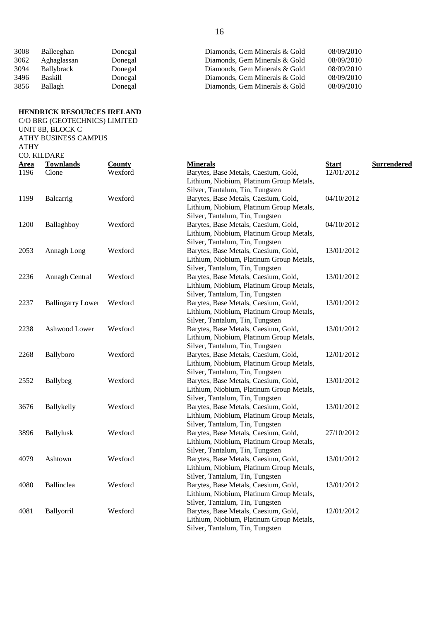| 3008 | Balleeghan     | Donegal | Diamonds, Gem Minerals & Gold | 08/09/2010 |
|------|----------------|---------|-------------------------------|------------|
| 3062 | Aghaglassan    | Donegal | Diamonds, Gem Minerals & Gold | 08/09/2010 |
| 3094 | Ballybrack     | Donegal | Diamonds, Gem Minerals & Gold | 08/09/2010 |
| 3496 | <b>Baskill</b> | Donegal | Diamonds, Gem Minerals & Gold | 08/09/2010 |
| 3856 | Ballagh        | Donegal | Diamonds, Gem Minerals & Gold | 08/09/2010 |

### **HENDRICK RESOURCES IRELAND** C/O BRG (GEOTECHNICS) LIMITED

|             | UNIT 8B, BLOCK C            |               |                                                                             |              |             |
|-------------|-----------------------------|---------------|-----------------------------------------------------------------------------|--------------|-------------|
|             | <b>ATHY BUSINESS CAMPUS</b> |               |                                                                             |              |             |
| <b>ATHY</b> |                             |               |                                                                             |              |             |
|             | CO. KILDARE                 |               |                                                                             |              |             |
| <u>Area</u> | <b>Townlands</b>            | <b>County</b> | <b>Minerals</b>                                                             | <b>Start</b> | Surrendered |
| 1196        | Clone                       | Wexford       | Barytes, Base Metals, Caesium, Gold,                                        | 12/01/2012   |             |
|             |                             |               | Lithium, Niobium, Platinum Group Metals,                                    |              |             |
|             |                             |               | Silver, Tantalum, Tin, Tungsten                                             |              |             |
| 1199        | Balcarrig                   | Wexford       | Barytes, Base Metals, Caesium, Gold,                                        | 04/10/2012   |             |
|             |                             |               | Lithium, Niobium, Platinum Group Metals,                                    |              |             |
|             |                             |               | Silver, Tantalum, Tin, Tungsten                                             |              |             |
| 1200        | Ballaghboy                  | Wexford       | Barytes, Base Metals, Caesium, Gold,                                        | 04/10/2012   |             |
|             |                             |               | Lithium, Niobium, Platinum Group Metals,                                    |              |             |
|             |                             |               | Silver, Tantalum, Tin, Tungsten                                             |              |             |
| 2053        | Annagh Long                 | Wexford       | Barytes, Base Metals, Caesium, Gold,                                        | 13/01/2012   |             |
|             |                             |               | Lithium, Niobium, Platinum Group Metals,                                    |              |             |
|             |                             |               | Silver, Tantalum, Tin, Tungsten                                             |              |             |
| 2236        | Annagh Central              | Wexford       | Barytes, Base Metals, Caesium, Gold,                                        | 13/01/2012   |             |
|             |                             |               | Lithium, Niobium, Platinum Group Metals,                                    |              |             |
|             |                             |               | Silver, Tantalum, Tin, Tungsten                                             |              |             |
| 2237        | <b>Ballingarry Lower</b>    | Wexford       | Barytes, Base Metals, Caesium, Gold,                                        | 13/01/2012   |             |
|             |                             |               | Lithium, Niobium, Platinum Group Metals,                                    |              |             |
|             |                             |               | Silver, Tantalum, Tin, Tungsten                                             |              |             |
| 2238        | Ashwood Lower               | Wexford       | Barytes, Base Metals, Caesium, Gold,                                        | 13/01/2012   |             |
|             |                             |               | Lithium, Niobium, Platinum Group Metals,                                    |              |             |
|             |                             |               | Silver, Tantalum, Tin, Tungsten                                             |              |             |
| 2268        | Ballyboro                   | Wexford       | Barytes, Base Metals, Caesium, Gold,                                        | 12/01/2012   |             |
|             |                             |               | Lithium, Niobium, Platinum Group Metals,                                    |              |             |
|             |                             |               | Silver, Tantalum, Tin, Tungsten                                             |              |             |
| 2552        | Ballybeg                    | Wexford       | Barytes, Base Metals, Caesium, Gold,                                        | 13/01/2012   |             |
|             |                             |               | Lithium, Niobium, Platinum Group Metals,                                    |              |             |
|             |                             |               | Silver, Tantalum, Tin, Tungsten                                             |              |             |
| 3676        | Ballykelly                  | Wexford       | Barytes, Base Metals, Caesium, Gold,                                        | 13/01/2012   |             |
|             |                             |               | Lithium, Niobium, Platinum Group Metals,                                    |              |             |
|             |                             |               | Silver, Tantalum, Tin, Tungsten                                             |              |             |
| 3896        | <b>Ballylusk</b>            | Wexford       | Barytes, Base Metals, Caesium, Gold,                                        | 27/10/2012   |             |
|             |                             |               | Lithium, Niobium, Platinum Group Metals,                                    |              |             |
|             |                             |               | Silver, Tantalum, Tin, Tungsten                                             |              |             |
| 4079        | Ashtown                     | Wexford       | Barytes, Base Metals, Caesium, Gold,                                        | 13/01/2012   |             |
|             |                             |               | Lithium, Niobium, Platinum Group Metals,                                    |              |             |
|             |                             |               | Silver, Tantalum, Tin, Tungsten                                             |              |             |
| 4080        | Ballinclea                  | Wexford       | Barytes, Base Metals, Caesium, Gold,                                        | 13/01/2012   |             |
|             |                             |               | Lithium, Niobium, Platinum Group Metals,                                    |              |             |
|             |                             |               | Silver, Tantalum, Tin, Tungsten                                             |              |             |
| 4081        | Ballyorril                  | Wexford       | Barytes, Base Metals, Caesium, Gold,                                        | 12/01/2012   |             |
|             |                             |               | Lithium, Niobium, Platinum Group Metals,<br>Silver, Tantalum, Tin, Tungsten |              |             |
|             |                             |               |                                                                             |              |             |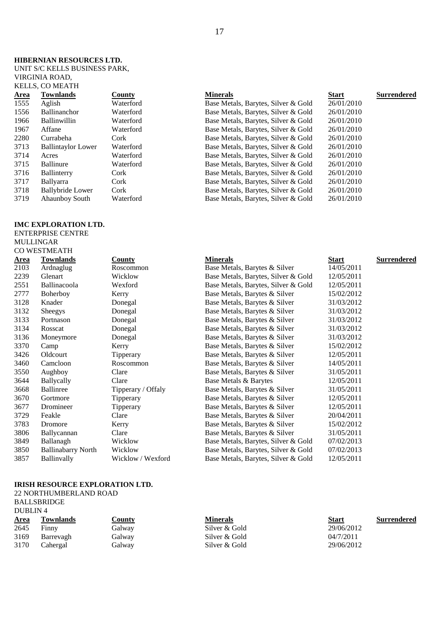#### **HIBERNIAN RESOURCES LTD.**

UNIT S/C KELLS BUSINESS PARK, VIRGINIA ROAD,

### KELLS, CO MEATH

| <b>Townlands</b>          | <b>County</b> |
|---------------------------|---------------|
| Aglish                    | Waterfo       |
| Ballinanchor              | Waterfo       |
| <b>Ballinwillin</b>       | Waterfo       |
| Affane                    | Waterfo       |
| Currabeha                 | Cork          |
| <b>Ballintaylor Lower</b> | Waterfo       |
| Acres                     | Waterfo       |
| <b>Ballinure</b>          | Waterfo       |
| Ballinterry               | Cork          |
| <b>Ballyarra</b>          | Cork          |
| <b>Ballybride Lower</b>   | Cork          |
| <b>Ahaunboy South</b>     | Waterfo       |
|                           |               |

#### **IMC EXPLORATION LTD.**

ENTERPRISE CENTRE MULLINGAR CO WESTMEATH

| CU WESTMEATI |  |
|--------------|--|
|              |  |

| 70 I IVIL/TI I I          |                  |
|---------------------------|------------------|
| Townlands                 | <b>County</b>    |
| Ardnaglug                 | Roscommon        |
| Glenart                   | Wicklow          |
| Ballinacoola              | Wexford          |
| Boherboy                  | Kerry            |
| Knader                    | Donegal          |
| Sheegys                   | Donegal          |
| Portnason                 | Donegal          |
| Rosscat                   | Donegal          |
| Moneymore                 | Donegal          |
| Camp                      | Kerry            |
| Oldcourt                  | Tipperary        |
| Camcloon                  | Roscommon        |
| Aughboy                   | Clare            |
| <b>Ballycally</b>         | Clare            |
| <b>Ballinree</b>          | Tipperary / Offa |
| Gortmore                  | Tipperary        |
| Dromineer                 | Tipperary        |
| Feakle                    | Clare            |
| Dromore                   | Kerry            |
| Ballycannan               | Clare            |
| Ballanagh                 | Wicklow          |
| <b>Ballinabarry North</b> | Wicklow          |
| Ballinvally               | Wicklow / Wexf   |

#### **IRISH RESOURCE EXPLORATION LTD.**

22 NORTHUMBERLAND ROAD BALLSBRIDGE DUBLIN 4

| <u>Area</u> | Townlands | <b>County</b> | <b>Minerals</b> | <b>Surrendered</b><br>Start |  |
|-------------|-----------|---------------|-----------------|-----------------------------|--|
| 2645        | Finny     | Galway        | Silver & Gold   | 29/06/2012                  |  |
| 3169        | Barrevagh | Galway        | Silver & Gold   | 04/7/2011                   |  |
| 3170        | Cahergal  | Galway        | Silver & Gold   | 29/06/2012                  |  |

| <b>Townlands</b>          | County    | <b>Minerals</b>                     | <b>Start</b> | <b>Surrendered</b> |
|---------------------------|-----------|-------------------------------------|--------------|--------------------|
| Aglish                    | Waterford | Base Metals, Barytes, Silver & Gold | 26/01/2010   |                    |
| <b>Ballinanchor</b>       | Waterford | Base Metals, Barytes, Silver & Gold | 26/01/2010   |                    |
| <b>Ballinwillin</b>       | Waterford | Base Metals, Barytes, Silver & Gold | 26/01/2010   |                    |
| Affane                    | Waterford | Base Metals, Barytes, Silver & Gold | 26/01/2010   |                    |
| Currabeha                 | Cork      | Base Metals, Barytes, Silver & Gold | 26/01/2010   |                    |
| <b>Ballintaylor Lower</b> | Waterford | Base Metals, Barytes, Silver & Gold | 26/01/2010   |                    |
| Acres                     | Waterford | Base Metals, Barytes, Silver & Gold | 26/01/2010   |                    |
| Ballinure                 | Waterford | Base Metals, Barytes, Silver & Gold | 26/01/2010   |                    |
| Ballinterry               | Cork      | Base Metals, Barytes, Silver & Gold | 26/01/2010   |                    |
| <b>Ballyarra</b>          | Cork      | Base Metals, Barytes, Silver & Gold | 26/01/2010   |                    |
| <b>Ballybride Lower</b>   | Cork      | Base Metals, Barytes, Silver & Gold | 26/01/2010   |                    |
| Ahaunboy South            | Waterford | Base Metals, Barytes, Silver & Gold | 26/01/2010   |                    |
|                           |           |                                     |              |                    |

|             | CO 11 LO 11 11 L/I 11 11  |                    |                                     |              |                    |
|-------------|---------------------------|--------------------|-------------------------------------|--------------|--------------------|
| <u>Area</u> | <b>Townlands</b>          | County             | <b>Minerals</b>                     | <b>Start</b> | <b>Surrendered</b> |
| 2103        | Ardnaglug                 | Roscommon          | Base Metals, Barytes & Silver       | 14/05/2011   |                    |
| 2239        | Glenart                   | Wicklow            | Base Metals, Barytes, Silver & Gold | 12/05/2011   |                    |
| 2551        | Ballinacoola              | Wexford            | Base Metals, Barytes, Silver & Gold | 12/05/2011   |                    |
| 2777        | <b>Boherboy</b>           | Kerry              | Base Metals, Barytes & Silver       | 15/02/2012   |                    |
| 3128        | Knader                    | Donegal            | Base Metals, Barytes & Silver       | 31/03/2012   |                    |
| 3132        | <b>Sheegys</b>            | Donegal            | Base Metals, Barytes & Silver       | 31/03/2012   |                    |
| 3133        | Portnason                 | Donegal            | Base Metals, Barytes & Silver       | 31/03/2012   |                    |
| 3134        | Rosscat                   | Donegal            | Base Metals, Barytes & Silver       | 31/03/2012   |                    |
| 3136        | Moneymore                 | Donegal            | Base Metals, Barytes & Silver       | 31/03/2012   |                    |
| 3370        | Camp                      | Kerry              | Base Metals, Barytes & Silver       | 15/02/2012   |                    |
| 3426        | Oldcourt                  | Tipperary          | Base Metals, Barytes & Silver       | 12/05/2011   |                    |
| 3460        | Camcloon                  | Roscommon          | Base Metals, Barytes & Silver       | 14/05/2011   |                    |
| 3550        | Aughboy                   | Clare              | Base Metals, Barytes & Silver       | 31/05/2011   |                    |
| 3644        | Ballycally                | Clare              | Base Metals & Barytes               | 12/05/2011   |                    |
| 3668        | <b>Ballinree</b>          | Tipperary / Offaly | Base Metals, Barytes & Silver       | 31/05/2011   |                    |
| 3670        | Gortmore                  | Tipperary          | Base Metals, Barytes & Silver       | 12/05/2011   |                    |
| 3677        | Dromineer                 | Tipperary          | Base Metals, Barytes & Silver       | 12/05/2011   |                    |
| 3729        | Feakle                    | Clare              | Base Metals, Barytes & Silver       | 20/04/2011   |                    |
| 3783        | Dromore                   | Kerry              | Base Metals, Barytes & Silver       | 15/02/2012   |                    |
| 3806        | Ballycannan               | Clare              | Base Metals, Barytes & Silver       | 31/05/2011   |                    |
| 3849        | Ballanagh                 | Wicklow            | Base Metals, Barytes, Silver & Gold | 07/02/2013   |                    |
| 3850        | <b>Ballinabarry North</b> | Wicklow            | Base Metals, Barytes, Silver & Gold | 07/02/2013   |                    |
| 3857        | Ballinvally               | Wicklow / Wexford  | Base Metals, Barytes, Silver & Gold | 12/05/2011   |                    |
|             |                           |                    |                                     |              |                    |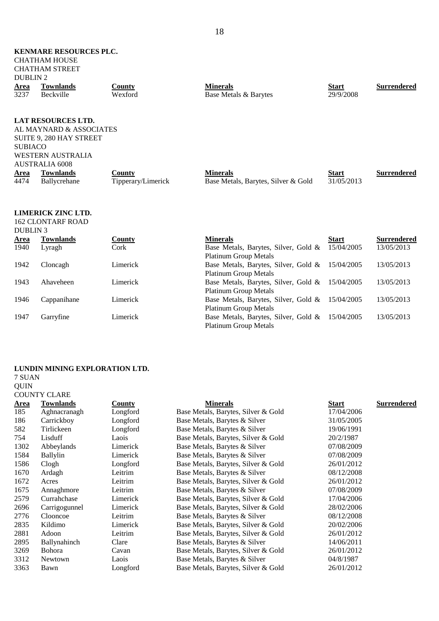| <b>KENMARE RESOURCES PLC.</b><br><b>CHATHAM HOUSE</b><br><b>CHATHAM STREET</b><br><b>DUBLIN2</b> |                                                                                                                                                                          |                              |                                                                      |                            |                    |  |  |  |
|--------------------------------------------------------------------------------------------------|--------------------------------------------------------------------------------------------------------------------------------------------------------------------------|------------------------------|----------------------------------------------------------------------|----------------------------|--------------------|--|--|--|
| <u>Area</u><br>3237                                                                              | <b>Townlands</b><br><b>Beckville</b>                                                                                                                                     | <b>County</b><br>Wexford     | <b>Minerals</b><br>Base Metals & Barytes                             | <b>Start</b><br>29/9/2008  | <b>Surrendered</b> |  |  |  |
|                                                                                                  |                                                                                                                                                                          |                              |                                                                      |                            |                    |  |  |  |
| <b>SUBIACO</b><br><u>Area</u><br>4474                                                            | <b>LAT RESOURCES LTD.</b><br>AL MAYNARD & ASSOCIATES<br>SUITE 9, 280 HAY STREET<br><b>WESTERN AUSTRALIA</b><br><b>AUSTRALIA 6008</b><br><b>Townlands</b><br>Ballycrehane | County<br>Tipperary/Limerick | <b>Minerals</b><br>Base Metals, Barytes, Silver & Gold               | <b>Start</b><br>31/05/2013 | <b>Surrendered</b> |  |  |  |
| <b>DUBLIN3</b>                                                                                   | <b>LIMERICK ZINC LTD.</b><br><b>162 CLONTARF ROAD</b>                                                                                                                    |                              |                                                                      |                            |                    |  |  |  |
| Area                                                                                             | <b>Townlands</b>                                                                                                                                                         | County                       | <b>Minerals</b>                                                      | <b>Start</b>               | <b>Surrendered</b> |  |  |  |
| 1940                                                                                             | Lyragh                                                                                                                                                                   | Cork                         | Base Metals, Barytes, Silver, Gold &<br><b>Platinum Group Metals</b> | 15/04/2005                 | 13/05/2013         |  |  |  |
| 1942                                                                                             | Cloncagh                                                                                                                                                                 | Limerick                     | Base Metals, Barytes, Silver, Gold &<br><b>Platinum Group Metals</b> | 15/04/2005                 | 13/05/2013         |  |  |  |
| 1943                                                                                             | Ahaveheen                                                                                                                                                                | Limerick                     | Base Metals, Barytes, Silver, Gold &<br><b>Platinum Group Metals</b> | 15/04/2005                 | 13/05/2013         |  |  |  |

1946 Cappanihane Limerick Base Metals, Barytes, Silver, Gold & 15/04/2005 13/05/2013

1947 Garryfine Limerick Base Metals, Barytes, Silver, Gold &

Platinum Group Metals

15/04/2005 13/05/2013

Platinum Group Metals

#### **LUNDIN MINING EXPLORATION LTD.**

7 SUAN QUIN COUNTY CLARE

| <b>Area</b> | <b>Townlands</b> | <b>County</b> | <b>Minerals</b>                     | <b>Start</b> | <b>Surrendered</b> |
|-------------|------------------|---------------|-------------------------------------|--------------|--------------------|
| 185         | Aghnacranagh     | Longford      | Base Metals, Barytes, Silver & Gold | 17/04/2006   |                    |
| 186         | Carrickboy       | Longford      | Base Metals, Barytes & Silver       | 31/05/2005   |                    |
| 582         | Tirlickeen       | Longford      | Base Metals, Barytes & Silver       | 19/06/1991   |                    |
| 754         | Lisduff          | Laois         | Base Metals, Barytes, Silver & Gold | 20/2/1987    |                    |
| 1302        | Abbeylands       | Limerick      | Base Metals, Barytes & Silver       | 07/08/2009   |                    |
| 1584        | Ballylin         | Limerick      | Base Metals, Barytes & Silver       | 07/08/2009   |                    |
| 1586        | Clogh            | Longford      | Base Metals, Barytes, Silver & Gold | 26/01/2012   |                    |
| 1670        | Ardagh           | Leitrim       | Base Metals, Barytes & Silver       | 08/12/2008   |                    |
| 1672        | Acres            | Leitrim       | Base Metals, Barytes, Silver & Gold | 26/01/2012   |                    |
| 1675        | Annaghmore       | Leitrim       | Base Metals, Barytes & Silver       | 07/08/2009   |                    |
| 2579        | Currahchase      | Limerick      | Base Metals, Barytes, Silver & Gold | 17/04/2006   |                    |
| 2696        | Carrigogunnel    | Limerick      | Base Metals, Barytes, Silver & Gold | 28/02/2006   |                    |
| 2776        | Clooncoe         | Leitrim       | Base Metals, Barytes & Silver       | 08/12/2008   |                    |
| 2835        | Kildimo          | Limerick      | Base Metals, Barytes, Silver & Gold | 20/02/2006   |                    |
| 2881        | Adoon            | Leitrim       | Base Metals, Barytes, Silver & Gold | 26/01/2012   |                    |
| 2895        | Ballynahinch     | Clare         | Base Metals, Barytes & Silver       | 14/06/2011   |                    |
| 3269        | <b>Bohora</b>    | Cavan         | Base Metals, Barytes, Silver & Gold | 26/01/2012   |                    |
| 3312        | <b>Newtown</b>   | Laois         | Base Metals, Barytes & Silver       | 04/8/1987    |                    |
| 3363        | Bawn             | Longford      | Base Metals, Barytes, Silver & Gold | 26/01/2012   |                    |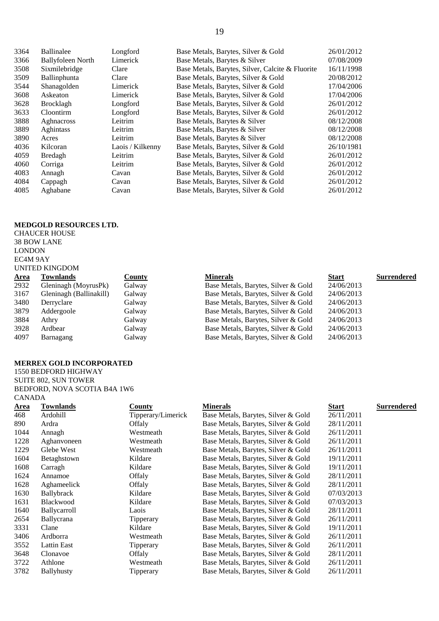| 3364 | <b>Ballinalee</b>        | Longford         | Base Metals, Barytes, Silver & Gold              | 26/01/2012 |
|------|--------------------------|------------------|--------------------------------------------------|------------|
| 3366 | <b>Ballyfoleen North</b> | Limerick         | Base Metals, Barytes & Silver                    | 07/08/2009 |
| 3508 | Sixmilebridge            | Clare            | Base Metals, Barytes, Silver, Calcite & Fluorite | 16/11/1998 |
| 3509 | Ballinphunta             | Clare            | Base Metals, Barytes, Silver & Gold              | 20/08/2012 |
| 3544 | Shanagolden              | Limerick         | Base Metals, Barytes, Silver & Gold              | 17/04/2006 |
| 3608 | Askeaton                 | Limerick         | Base Metals, Barytes, Silver & Gold              | 17/04/2006 |
| 3628 | <b>Brocklagh</b>         | Longford         | Base Metals, Barytes, Silver & Gold              | 26/01/2012 |
| 3633 | Cloontirm                | Longford         | Base Metals, Barytes, Silver & Gold              | 26/01/2012 |
| 3888 | Aghnacross               | Leitrim          | Base Metals, Barytes & Silver                    | 08/12/2008 |
| 3889 | Aghintass                | Leitrim          | Base Metals, Barytes & Silver                    | 08/12/2008 |
| 3890 | Acres                    | Leitrim          | Base Metals, Barytes & Silver                    | 08/12/2008 |
| 4036 | Kilcoran                 | Laois / Kilkenny | Base Metals, Barytes, Silver & Gold              | 26/10/1981 |
| 4059 | Bredagh                  | Leitrim          | Base Metals, Barytes, Silver & Gold              | 26/01/2012 |
| 4060 | Corriga                  | Leitrim          | Base Metals, Barytes, Silver & Gold              | 26/01/2012 |
| 4083 | Annagh                   | Cavan            | Base Metals, Barytes, Silver & Gold              | 26/01/2012 |
| 4084 | Cappagh                  | Cavan            | Base Metals, Barytes, Silver & Gold              | 26/01/2012 |
| 4085 | Aghabane                 | Cavan            | Base Metals, Barytes, Silver & Gold              | 26/01/2012 |

#### **MEDGOLD RESOURCES LTD.**

### CHAUCER HOUSE 38 BOW LANE LONDON EC4M 9AY UNITED KINGDOM

|             | UNITED KINGDOM          |               |                                     |              |                    |  |  |  |
|-------------|-------------------------|---------------|-------------------------------------|--------------|--------------------|--|--|--|
| <b>Area</b> | <b>Townlands</b>        | <b>County</b> | <b>Minerals</b>                     | <b>Start</b> | <b>Surrendered</b> |  |  |  |
| 2932        | Gleninagh (MoyrusPk)    | Galway        | Base Metals, Barytes, Silver & Gold | 24/06/2013   |                    |  |  |  |
| 3167        | Gleninagh (Ballinakill) | Galway        | Base Metals, Barytes, Silver & Gold | 24/06/2013   |                    |  |  |  |
| 3480        | Derryclare              | Galway        | Base Metals, Barytes, Silver & Gold | 24/06/2013   |                    |  |  |  |
| 3879        | Addergoole              | Galway        | Base Metals, Barytes, Silver & Gold | 24/06/2013   |                    |  |  |  |
| 3884        | Athry                   | Galway        | Base Metals, Barytes, Silver & Gold | 24/06/2013   |                    |  |  |  |
| 3928        | Ardbear                 | Galway        | Base Metals, Barytes, Silver & Gold | 24/06/2013   |                    |  |  |  |
| 4097        | Barnagang               | Galway        | Base Metals, Barytes, Silver & Gold | 24/06/2013   |                    |  |  |  |
|             |                         |               |                                     |              |                    |  |  |  |

### **MERREX GOLD INCORPORATED**

1550 BEDFORD HIGHWAY SUITE 802, SUN TOWER **BEDFOI** CANAD

|               | BEDFORD, NOVA SCOTIA B4A 1W6 |                    |                                     |              |                    |
|---------------|------------------------------|--------------------|-------------------------------------|--------------|--------------------|
| <b>CANADA</b> |                              |                    |                                     |              |                    |
| <u>Area</u>   | Townlands                    | <b>County</b>      | <b>Minerals</b>                     | <b>Start</b> | <b>Surrendered</b> |
| 468           | Ardohill                     | Tipperary/Limerick | Base Metals, Barytes, Silver & Gold | 26/11/2011   |                    |
| 890           | Ardra                        | Offaly             | Base Metals, Barytes, Silver & Gold | 28/11/2011   |                    |
| 1044          | Annagh                       | Westmeath          | Base Metals, Barytes, Silver & Gold | 26/11/2011   |                    |
| 1228          | Aghanyoneen                  | Westmeath          | Base Metals, Barytes, Silver & Gold | 26/11/2011   |                    |
| 1229          | Glebe West                   | Westmeath          | Base Metals, Barytes, Silver & Gold | 26/11/2011   |                    |
| 1604          | Betaghstown                  | Kildare            | Base Metals, Barytes, Silver & Gold | 19/11/2011   |                    |
| 1608          | Carragh                      | Kildare            | Base Metals, Barytes, Silver & Gold | 19/11/2011   |                    |
| 1624          | Annamoe                      | Offaly             | Base Metals, Barytes, Silver & Gold | 28/11/2011   |                    |
| 1628          | Aghameelick                  | Offaly             | Base Metals, Barytes, Silver & Gold | 28/11/2011   |                    |
| 1630          | Ballybrack                   | Kildare            | Base Metals, Barytes, Silver & Gold | 07/03/2013   |                    |
| 1631          | <b>Blackwood</b>             | Kildare            | Base Metals, Barytes, Silver & Gold | 07/03/2013   |                    |
| 1640          | <b>Ballycarroll</b>          | Laois              | Base Metals, Barytes, Silver & Gold | 28/11/2011   |                    |
| 2654          | Ballycrana                   | Tipperary          | Base Metals, Barytes, Silver & Gold | 26/11/2011   |                    |
| 3331          | Clane                        | Kildare            | Base Metals, Barytes, Silver & Gold | 19/11/2011   |                    |
| 3406          | Ardborra                     | Westmeath          | Base Metals, Barytes, Silver & Gold | 26/11/2011   |                    |
| 3552          | Lattin East                  | Tipperary          | Base Metals, Barytes, Silver & Gold | 26/11/2011   |                    |
| 3648          | Clonavoe                     | Offaly             | Base Metals, Barytes, Silver & Gold | 28/11/2011   |                    |
| 3722          | Athlone                      | Westmeath          | Base Metals, Barytes, Silver & Gold | 26/11/2011   |                    |
| 3782          | <b>Ballyhusty</b>            | Tipperary          | Base Metals, Barytes, Silver & Gold | 26/11/2011   |                    |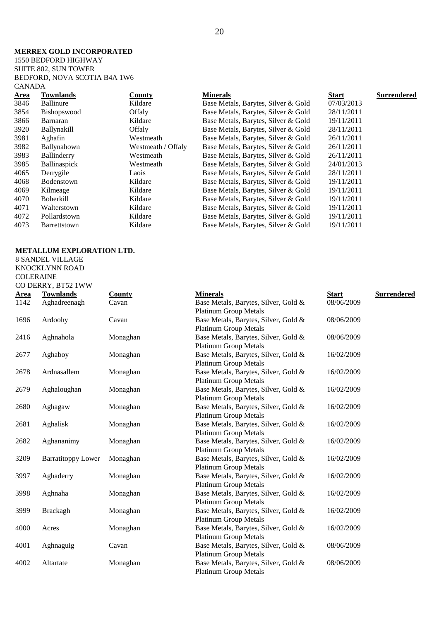#### **MERREX GOLD INCORPORATED**

1550 BEDFORD HIGHWAY SUITE 802, SUN TOWER BEDFORD, NOVA SCOTIA B4A 1W6 CANADA

| <u>Area</u> | <b>Townlands</b>   | County             | <b>Minerals</b>                     | <b>Start</b> | <b>Surrendered</b> |
|-------------|--------------------|--------------------|-------------------------------------|--------------|--------------------|
| 3846        | <b>Ballinure</b>   | Kildare            | Base Metals, Barytes, Silver & Gold | 07/03/2013   |                    |
| 3854        | Bishopswood        | Offaly             | Base Metals, Barytes, Silver & Gold | 28/11/2011   |                    |
| 3866        | Barnaran           | Kildare            | Base Metals, Barytes, Silver & Gold | 19/11/2011   |                    |
| 3920        | <b>Ballynakill</b> | Offaly             | Base Metals, Barytes, Silver & Gold | 28/11/2011   |                    |
| 3981        | Aghafin            | Westmeath          | Base Metals, Barytes, Silver & Gold | 26/11/2011   |                    |
| 3982        | Ballynahown        | Westmeath / Offaly | Base Metals, Barytes, Silver & Gold | 26/11/2011   |                    |
| 3983        | Ballinderry        | Westmeath          | Base Metals, Barytes, Silver & Gold | 26/11/2011   |                    |
| 3985        | Ballinaspick       | Westmeath          | Base Metals, Barytes, Silver & Gold | 24/01/2013   |                    |
| 4065        | Derrygile          | Laois              | Base Metals, Barytes, Silver & Gold | 28/11/2011   |                    |
| 4068        | Bodenstown         | Kildare            | Base Metals, Barytes, Silver & Gold | 19/11/2011   |                    |
| 4069        | Kilmeage           | Kildare            | Base Metals, Barytes, Silver & Gold | 19/11/2011   |                    |
| 4070        | <b>Boherkill</b>   | Kildare            | Base Metals, Barytes, Silver & Gold | 19/11/2011   |                    |
| 4071        | Walterstown        | Kildare            | Base Metals, Barytes, Silver & Gold | 19/11/2011   |                    |
| 4072        | Pollardstown       | Kildare            | Base Metals, Barytes, Silver & Gold | 19/11/2011   |                    |
| 4073        | Barrettstown       | Kildare            | Base Metals, Barytes, Silver & Gold | 19/11/2011   |                    |
|             |                    |                    |                                     |              |                    |

#### **METALLUM EXPLORATION LTD.**

8 SANDEL VILLAGE KNOCKLYNN ROAD

CO DERRY, BT52 1WW

COLERAINE

**Area Townlands County Minerals Start Surrendered** 1142 Aghadreenagh Cavan Base Metals, Barytes, Silver, Gold & Platinum Group Metals 08/06/2009 1696 Ardoohy Cavan Base Metals, Barytes, Silver, Gold & Platinum Group Metals 08/06/2009 2416 Aghnahola Monaghan Base Metals, Barytes, Silver, Gold & Platinum Group Metals 08/06/2009 2677 Aghaboy Monaghan Base Metals, Barytes, Silver, Gold & Platinum Group Metals 16/02/2009 2678 Ardnasallem Monaghan Base Metals, Barytes, Silver, Gold & Platinum Group Metals 16/02/2009 2679 Aghaloughan Monaghan Base Metals, Barytes, Silver, Gold & Platinum Group Metals 16/02/2009 2680 Aghagaw Monaghan Base Metals, Barytes, Silver, Gold & Platinum Group Metals 16/02/2009 2681 Aghalisk Monaghan Base Metals, Barytes, Silver, Gold & Platinum Group Metals 16/02/2009 2682 Aghananimy Monaghan Base Metals, Barytes, Silver, Gold & Platinum Group Metals 16/02/2009 3209 Barratitoppy Lower Monaghan Base Metals, Barytes, Silver, Gold & Platinum Group Metals 16/02/2009 3997 Aghaderry Monaghan Base Metals, Barytes, Silver, Gold & Platinum Group Metals 16/02/2009 3998 Aghnaha Monaghan Base Metals, Barytes, Silver, Gold & Platinum Group Metals 16/02/2009 3999 Brackagh Monaghan Base Metals, Barytes, Silver, Gold & Platinum Group Metals 16/02/2009 4000 Acres Monaghan Base Metals, Barytes, Silver, Gold & Platinum Group Metals 16/02/2009 4001 Aghnaguig Cavan Base Metals, Barytes, Silver, Gold & Platinum Group Metals 08/06/2009 4002 Altartate Monaghan Base Metals, Barytes, Silver, Gold & 08/06/2009

Platinum Group Metals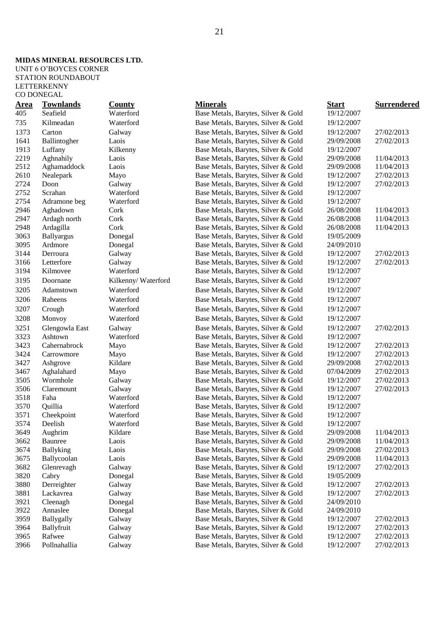### **MIDAS MINERAL RESOURCES LTD.**

UNIT 6 O'BOYCES CORNER STATION ROUNDABOUT LETTERKENNY CO DONEGAL

| <u>Area</u>  | <b>Townlands</b>       | County              | <b>Minerals</b>                                                            | <b>Start</b>             | <b>Surrendered</b>       |
|--------------|------------------------|---------------------|----------------------------------------------------------------------------|--------------------------|--------------------------|
| 405          | Seafield               | Waterford           | Base Metals, Barytes, Silver & Gold                                        | 19/12/2007               |                          |
| 735          | Kilmeadan              | Waterford           | Base Metals, Barytes, Silver & Gold                                        | 19/12/2007               |                          |
| 1373         | Carton                 | Galway              | Base Metals, Barytes, Silver & Gold                                        | 19/12/2007               | 27/02/2013               |
| 1641         | Ballintogher           | Laois               | Base Metals, Barytes, Silver & Gold                                        | 29/09/2008               | 27/02/2013               |
| 1913         | Luffany                | Kilkenny            | Base Metals, Barytes, Silver & Gold                                        | 19/12/2007               |                          |
| 2219         | Aghnahily              | Laois               | Base Metals, Barytes, Silver & Gold                                        | 29/09/2008               | 11/04/2013               |
| 2512         | Aghamaddock            | Laois               | Base Metals, Barytes, Silver & Gold                                        | 29/09/2008               | 11/04/2013               |
| 2610         | Nealepark              | Mayo                | Base Metals, Barytes, Silver & Gold                                        | 19/12/2007               | 27/02/2013               |
| 2724         | Doon                   | Galway              | Base Metals, Barytes, Silver & Gold                                        | 19/12/2007               | 27/02/2013               |
| 2752         | Scrahan                | Waterford           | Base Metals, Barytes, Silver & Gold                                        | 19/12/2007               |                          |
| 2754         | Adramone beg           | Waterford           | Base Metals, Barytes, Silver & Gold                                        | 19/12/2007               |                          |
| 2946         | Aghadown               | Cork                | Base Metals, Barytes, Silver & Gold                                        | 26/08/2008               | 11/04/2013               |
| 2947         | Ardagh north           | Cork                | Base Metals, Barytes, Silver & Gold                                        | 26/08/2008               | 11/04/2013               |
| 2948         | Ardagilla              | Cork                | Base Metals, Barytes, Silver & Gold                                        | 26/08/2008               | 11/04/2013               |
| 3063         | <b>Ballyargus</b>      | Donegal             | Base Metals, Barytes, Silver & Gold                                        | 19/05/2009               |                          |
| 3095         | Ardmore                | Donegal             | Base Metals, Barytes, Silver & Gold                                        | 24/09/2010               |                          |
| 3144         | Derroura               | Galway              | Base Metals, Barytes, Silver & Gold                                        | 19/12/2007               | 27/02/2013               |
| 3166         | Letterfore             | Galway              | Base Metals, Barytes, Silver & Gold                                        | 19/12/2007               | 27/02/2013               |
| 3194         | Kilmovee               | Waterford           | Base Metals, Barytes, Silver & Gold                                        | 19/12/2007               |                          |
| 3195         | Doornane               | Kilkenny/Waterford  | Base Metals, Barytes, Silver & Gold                                        | 19/12/2007               |                          |
| 3205         | Adamstown              | Waterford           | Base Metals, Barytes, Silver & Gold                                        | 19/12/2007               |                          |
| 3206         | Raheens                | Waterford           | Base Metals, Barytes, Silver & Gold                                        | 19/12/2007               |                          |
| 3207         | Crough                 | Waterford           | Base Metals, Barytes, Silver & Gold                                        | 19/12/2007               |                          |
| 3208         |                        | Waterford           | Base Metals, Barytes, Silver & Gold                                        | 19/12/2007               |                          |
|              | Monvoy                 |                     |                                                                            |                          |                          |
| 3251         | Glengowla East         | Galway              | Base Metals, Barytes, Silver & Gold                                        | 19/12/2007               | 27/02/2013               |
| 3323         | Ashtown                | Waterford           | Base Metals, Barytes, Silver & Gold                                        | 19/12/2007               |                          |
| 3423<br>3424 | Cahernabrock           | Mayo                | Base Metals, Barytes, Silver & Gold                                        | 19/12/2007               | 27/02/2013               |
|              | Carrowmore             | Mayo                | Base Metals, Barytes, Silver & Gold                                        | 19/12/2007               | 27/02/2013               |
| 3427         | Ashgrove               | Kildare             | Base Metals, Barytes, Silver & Gold                                        | 29/09/2008               | 27/02/2013               |
| 3467         | Aghalahard<br>Wormhole | Mayo                | Base Metals, Barytes, Silver & Gold                                        | 07/04/2009               | 27/02/2013               |
| 3505<br>3506 |                        | Galway              | Base Metals, Barytes, Silver & Gold                                        | 19/12/2007               | 27/02/2013<br>27/02/2013 |
| 3518         | Claremount<br>Faha     | Galway<br>Waterford | Base Metals, Barytes, Silver & Gold                                        | 19/12/2007               |                          |
| 3570         |                        | Waterford           | Base Metals, Barytes, Silver & Gold                                        | 19/12/2007<br>19/12/2007 |                          |
| 3571         | Quillia<br>Cheekpoint  | Waterford           | Base Metals, Barytes, Silver & Gold<br>Base Metals, Barytes, Silver & Gold | 19/12/2007               |                          |
| 3574         | Deelish                | Waterford           | Base Metals, Barytes, Silver & Gold                                        | 19/12/2007               |                          |
| 3649         | Aughrim                | Kildare             | Base Metals, Barytes, Silver & Gold                                        | 29/09/2008               | 11/04/2013               |
| 3662         | <b>Baunree</b>         | Laois               | Base Metals, Barytes, Silver & Gold                                        | 29/09/2008               | 11/04/2013               |
| 3674         | Ballyking              | Laois               | Base Metals, Barytes, Silver & Gold                                        | 29/09/2008               | 27/02/2013               |
| 3675         | Ballycoolan            | Laois               | Base Metals, Barytes, Silver & Gold                                        | 29/09/2008               | 11/04/2013               |
| 3682         | Glenrevagh             | Galway              | Base Metals, Barytes, Silver & Gold                                        | 19/12/2007               | 27/02/2013               |
| 3820         | Cabry                  | Donegal             | Base Metals, Barytes, Silver & Gold                                        | 19/05/2009               |                          |
| 3880         | Derreighter            | Galway              | Base Metals, Barytes, Silver & Gold                                        | 19/12/2007               | 27/02/2013               |
| 3881         | Lackavrea              | Galway              | Base Metals, Barytes, Silver & Gold                                        | 19/12/2007               | 27/02/2013               |
| 3921         | Cleenagh               | Donegal             | Base Metals, Barytes, Silver & Gold                                        | 24/09/2010               |                          |
| 3922         | Annaslee               | Donegal             | Base Metals, Barytes, Silver & Gold                                        | 24/09/2010               |                          |
| 3959         | Ballygally             | Galway              | Base Metals, Barytes, Silver & Gold                                        | 19/12/2007               | 27/02/2013               |
| 3964         | Ballyfruit             | Galway              | Base Metals, Barytes, Silver & Gold                                        | 19/12/2007               | 27/02/2013               |
| 3965         | Rafwee                 | Galway              | Base Metals, Barytes, Silver & Gold                                        | 19/12/2007               | 27/02/2013               |
| 3966         | Pollnahallia           | Galway              | Base Metals, Barytes, Silver & Gold                                        | 19/12/2007               | 27/02/2013               |
|              |                        |                     |                                                                            |                          |                          |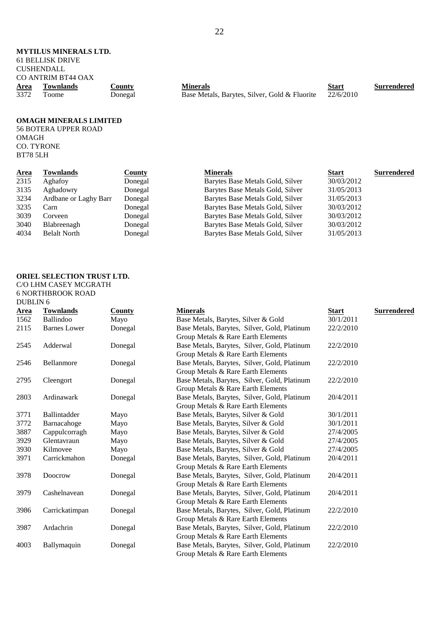#### **MYTILUS MINERALS LTD.** 61 BELLISK DRIVE CUSHENDALL CO ANTRIM BT44 OAX<br>Area Townlands **Area Townlands County Minerals Start Surrendered** <sup>3372</sup> Toome Donegal Base Metals, Barytes, Silver, Gold & Fluorite <sup>22/6/2010</sup>

#### **OMAGH MINERALS LIMITED**

56 BOTERA UPPER ROAD OMAGH CO. TYRONE BT78 5LH

| <u>Area</u> | Townlands             | <b>County</b> | <b>Minerals</b>                  | <b>Start</b> | <b>Surrendered</b> |
|-------------|-----------------------|---------------|----------------------------------|--------------|--------------------|
| 2315        | Aghafoy               | Donegal       | Barytes Base Metals Gold, Silver | 30/03/2012   |                    |
| 3135        | Aghadowry             | Donegal       | Barytes Base Metals Gold, Silver | 31/05/2013   |                    |
| 3234        | Ardbane or Laghy Barr | Donegal       | Barytes Base Metals Gold, Silver | 31/05/2013   |                    |
| 3235        | Carn                  | Donegal       | Barytes Base Metals Gold, Silver | 30/03/2012   |                    |
| 3039        | Corveen               | Donegal       | Barytes Base Metals Gold, Silver | 30/03/2012   |                    |
| 3040        | Blabreenagh           | Donegal       | Barytes Base Metals Gold, Silver | 30/03/2012   |                    |
| 4034        | <b>Belalt North</b>   | Donegal       | Barytes Base Metals Gold, Silver | 31/05/2013   |                    |
|             |                       |               |                                  |              |                    |

#### **ORIEL SELECTION TRUST LTD.**  C/O LHM CASEY MCGRATH 6 NORTHBROOK ROAD DUBLIN 6

| Area | <b>Townlands</b>    | <b>County</b> | <b>Minerals</b>                              | <b>Start</b> | <b>Surrendered</b> |
|------|---------------------|---------------|----------------------------------------------|--------------|--------------------|
| 1562 | Ballindoo           | Mayo          | Base Metals, Barytes, Silver & Gold          | 30/1/2011    |                    |
| 2115 | <b>Barnes</b> Lower | Donegal       | Base Metals, Barytes, Silver, Gold, Platinum | 22/2/2010    |                    |
|      |                     |               | Group Metals & Rare Earth Elements           |              |                    |
| 2545 | Adderwal            | Donegal       | Base Metals, Barytes, Silver, Gold, Platinum | 22/2/2010    |                    |
|      |                     |               | Group Metals & Rare Earth Elements           |              |                    |
| 2546 | Bellanmore          | Donegal       | Base Metals, Barytes, Silver, Gold, Platinum | 22/2/2010    |                    |
|      |                     |               | Group Metals & Rare Earth Elements           |              |                    |
| 2795 | Cleengort           | Donegal       | Base Metals, Barytes, Silver, Gold, Platinum | 22/2/2010    |                    |
|      |                     |               | Group Metals & Rare Earth Elements           |              |                    |
| 2803 | Ardinawark          | Donegal       | Base Metals, Barytes, Silver, Gold, Platinum | 20/4/2011    |                    |
|      |                     |               | Group Metals & Rare Earth Elements           |              |                    |
| 3771 | Ballintadder        | Mayo          | Base Metals, Barytes, Silver & Gold          | 30/1/2011    |                    |
| 3772 | Barnacahoge         | Mayo          | Base Metals, Barytes, Silver & Gold          | 30/1/2011    |                    |
| 3887 | Cappulcorragh       | Mayo          | Base Metals, Barytes, Silver & Gold          | 27/4/2005    |                    |
| 3929 | Glentavraun         | Mayo          | Base Metals, Barytes, Silver & Gold          | 27/4/2005    |                    |
| 3930 | Kilmovee            | Mayo          | Base Metals, Barytes, Silver & Gold          | 27/4/2005    |                    |
| 3971 | Carrickmahon        | Donegal       | Base Metals, Barytes, Silver, Gold, Platinum | 20/4/2011    |                    |
|      |                     |               | Group Metals & Rare Earth Elements           |              |                    |
| 3978 | Doocrow             | Donegal       | Base Metals, Barytes, Silver, Gold, Platinum | 20/4/2011    |                    |
|      |                     |               | Group Metals & Rare Earth Elements           |              |                    |
| 3979 | Cashelnavean        | Donegal       | Base Metals, Barytes, Silver, Gold, Platinum | 20/4/2011    |                    |
|      |                     |               | Group Metals & Rare Earth Elements           |              |                    |
| 3986 | Carrickatimpan      | Donegal       | Base Metals, Barytes, Silver, Gold, Platinum | 22/2/2010    |                    |
|      |                     |               | Group Metals & Rare Earth Elements           |              |                    |
| 3987 | Ardachrin           | Donegal       | Base Metals, Barytes, Silver, Gold, Platinum | 22/2/2010    |                    |
|      |                     |               | Group Metals & Rare Earth Elements           |              |                    |
| 4003 | Ballymaquin         | Donegal       | Base Metals, Barytes, Silver, Gold, Platinum | 22/2/2010    |                    |
|      |                     |               | Group Metals & Rare Earth Elements           |              |                    |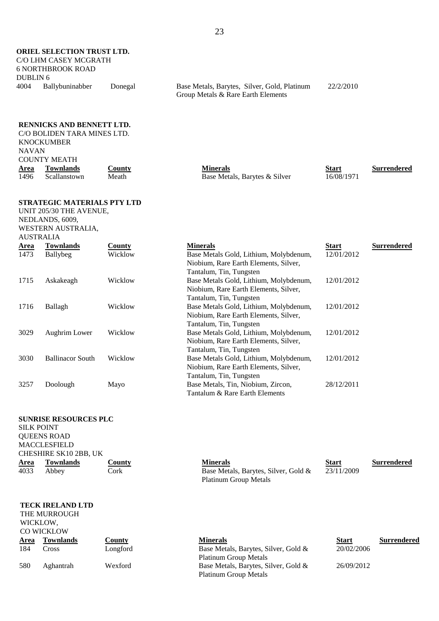**ORIEL SELECTION TRUST LTD.**  C/O LHM CASEY MCGRATH 6 NORTHBROOK ROAD DUBLIN 6<br>4004 Ballybuninabber

#### Donegal Base Metals, Barytes, Silver, Gold, Platinum Group Metals & Rare Earth Elements 22/2/2010

#### **RENNICKS AND BENNETT LTD.**

| <b>KNOCKUMBER</b>   |               |                               |              |                    |
|---------------------|---------------|-------------------------------|--------------|--------------------|
| <b>NAVAN</b>        |               |                               |              |                    |
| <b>COUNTY MEATH</b> |               |                               |              |                    |
| Townlands           | <u>County</u> | <b>Minerals</b>               | <b>Start</b> | <b>Surrendered</b> |
| Scallanstown        | Meath         | Base Metals, Barytes & Silver | 16/08/1971   |                    |
|                     |               |                               |              |                    |
|                     |               | C/O BOLIDEN TARA MINES LTD.   |              |                    |

#### **STRATEGIC MATERIALS PTY LTD**

UNIT 205/30 THE AVENUE,

NEDLANDS, 6009, WESTERN AUSTRALIA,

AUSTRALIA **Area Townlands County Minerals Start Surrendered** 1473 Ballybeg Wicklow Base Metals Gold, Lithium, Molybdenum, Niobium, Rare Earth Elements, Silver, Tantalum, Tin, Tungsten 12/01/2012 1715 Askakeagh Wicklow Base Metals Gold, Lithium, Molybdenum, Niobium, Rare Earth Elements, Silver, Tantalum, Tin, Tungsten 12/01/2012 1716 Ballagh Wicklow Base Metals Gold, Lithium, Molybdenum, Niobium, Rare Earth Elements, Silver, Tantalum, Tin, Tungsten 12/01/2012 3029 Aughrim Lower Wicklow Base Metals Gold, Lithium, Molybdenum, Niobium, Rare Earth Elements, Silver, Tantalum, Tin, Tungsten 12/01/2012 3030 Ballinacor South Wicklow Base Metals Gold, Lithium, Molybdenum, Niobium, Rare Earth Elements, Silver, Tantalum, Tin, Tungsten 12/01/2012 3257 Doolough Mayo Base Metals, Tin, Niobium, Zircon, Tantalum & Rare Earth Elements 28/12/2011

## **SUNRISE RESOURCES PLC**

SILK POINT QUEENS ROAD MACCLESFIELD CHESHIRE SK10 2BB, UK **Area Townlands County Minerals Start Surrendered** 4033 Abbey Cork Base Metals, Barytes, Silver, Gold &

### **TECK IRELAND LTD**  THE MURROUGH WICKLOW,

|             | <b>CO WICKLOW</b> |               |                                      |              |                    |  |  |
|-------------|-------------------|---------------|--------------------------------------|--------------|--------------------|--|--|
| <b>Area</b> | <b>Townlands</b>  | <b>County</b> | <b>Minerals</b>                      | <u>Start</u> | <b>Surrendered</b> |  |  |
| 184         | Cross             | Longford      | Base Metals, Barytes, Silver, Gold & | 20/02/2006   |                    |  |  |
|             |                   |               | <b>Platinum Group Metals</b>         |              |                    |  |  |
| 580         | Aghantrah         | Wexford       | Base Metals, Barytes, Silver, Gold & | 26/09/2012   |                    |  |  |
|             |                   |               | <b>Platinum Group Metals</b>         |              |                    |  |  |

Platinum Group Metals

 $23/11/2009$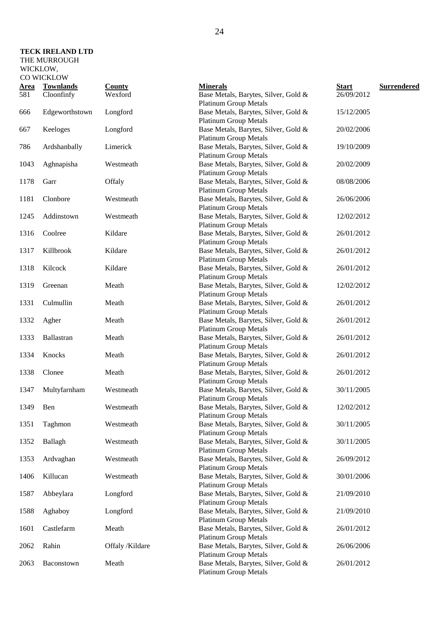### **TECK IRELAND LTD**  THE MURROUGH

| <b>Area</b> | <b>Townlands</b> | <b>County</b>   | <b>Minerals</b>                                                      | <b>Start</b> | Surrendered |
|-------------|------------------|-----------------|----------------------------------------------------------------------|--------------|-------------|
| 581         | Cloonfinfy       | Wexford         | Base Metals, Barytes, Silver, Gold &<br><b>Platinum Group Metals</b> | 26/09/2012   |             |
| 666         | Edgeworthstown   | Longford        | Base Metals, Barytes, Silver, Gold &<br><b>Platinum Group Metals</b> | 15/12/2005   |             |
| 667         | Keeloges         | Longford        | Base Metals, Barytes, Silver, Gold &<br><b>Platinum Group Metals</b> | 20/02/2006   |             |
| 786         | Ardshanbally     | Limerick        | Base Metals, Barytes, Silver, Gold &<br><b>Platinum Group Metals</b> | 19/10/2009   |             |
| 1043        | Aghnapisha       | Westmeath       | Base Metals, Barytes, Silver, Gold &<br><b>Platinum Group Metals</b> | 20/02/2009   |             |
| 1178        | Garr             | Offaly          | Base Metals, Barytes, Silver, Gold &<br><b>Platinum Group Metals</b> | 08/08/2006   |             |
| 1181        | Clonbore         | Westmeath       | Base Metals, Barytes, Silver, Gold &<br><b>Platinum Group Metals</b> | 26/06/2006   |             |
| 1245        | Addinstown       | Westmeath       | Base Metals, Barytes, Silver, Gold &<br><b>Platinum Group Metals</b> | 12/02/2012   |             |
| 1316        | Coolree          | Kildare         | Base Metals, Barytes, Silver, Gold &<br><b>Platinum Group Metals</b> | 26/01/2012   |             |
| 1317        | Killbrook        | Kildare         | Base Metals, Barytes, Silver, Gold &<br><b>Platinum Group Metals</b> | 26/01/2012   |             |
| 1318        | Kilcock          | Kildare         | Base Metals, Barytes, Silver, Gold &<br><b>Platinum Group Metals</b> | 26/01/2012   |             |
| 1319        | Greenan          | Meath           | Base Metals, Barytes, Silver, Gold &<br><b>Platinum Group Metals</b> | 12/02/2012   |             |
| 1331        | Culmullin        | Meath           | Base Metals, Barytes, Silver, Gold &<br><b>Platinum Group Metals</b> | 26/01/2012   |             |
| 1332        | Agher            | Meath           | Base Metals, Barytes, Silver, Gold &<br><b>Platinum Group Metals</b> | 26/01/2012   |             |
| 1333        | Ballastran       | Meath           | Base Metals, Barytes, Silver, Gold &<br><b>Platinum Group Metals</b> | 26/01/2012   |             |
| 1334        | Knocks           | Meath           | Base Metals, Barytes, Silver, Gold &<br><b>Platinum Group Metals</b> | 26/01/2012   |             |
| 1338        | Clonee           | Meath           | Base Metals, Barytes, Silver, Gold &<br><b>Platinum Group Metals</b> | 26/01/2012   |             |
| 1347        | Multyfarnham     | Westmeath       | Base Metals, Barytes, Silver, Gold &<br><b>Platinum Group Metals</b> | 30/11/2005   |             |
| 1349        | Ben              | Westmeath       | Base Metals, Barytes, Silver, Gold &<br>Platinum Group Metals        | 12/02/2012   |             |
| 1351        | Taghmon          | Westmeath       | Base Metals, Barytes, Silver, Gold &<br><b>Platinum Group Metals</b> | 30/11/2005   |             |
| 1352        | Ballagh          | Westmeath       | Base Metals, Barytes, Silver, Gold &<br><b>Platinum Group Metals</b> | 30/11/2005   |             |
| 1353        | Ardvaghan        | Westmeath       | Base Metals, Barytes, Silver, Gold &<br><b>Platinum Group Metals</b> | 26/09/2012   |             |
| 1406        | Killucan         | Westmeath       | Base Metals, Barytes, Silver, Gold &<br><b>Platinum Group Metals</b> | 30/01/2006   |             |
| 1587        | Abbeylara        | Longford        | Base Metals, Barytes, Silver, Gold &<br><b>Platinum Group Metals</b> | 21/09/2010   |             |
| 1588        | Aghaboy          | Longford        | Base Metals, Barytes, Silver, Gold &<br><b>Platinum Group Metals</b> | 21/09/2010   |             |
| 1601        | Castlefarm       | Meath           | Base Metals, Barytes, Silver, Gold &<br><b>Platinum Group Metals</b> | 26/01/2012   |             |
| 2062        | Rahin            | Offaly /Kildare | Base Metals, Barytes, Silver, Gold &<br><b>Platinum Group Metals</b> | 26/06/2006   |             |
| 2063        | Baconstown       | Meath           | Base Metals, Barytes, Silver, Gold &<br><b>Platinum Group Metals</b> | 26/01/2012   |             |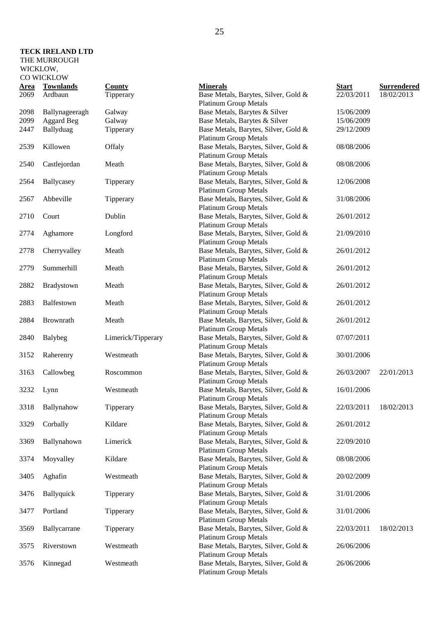#### **TECK IRELAND LTD**  THE MURROUGH

WICKLOW,

| <u>Area</u> | <b>Townlands</b>  | <b>County</b>      | <b>Minerals</b>                                                                                      | <b>Start</b> | <b>Surrendered</b> |
|-------------|-------------------|--------------------|------------------------------------------------------------------------------------------------------|--------------|--------------------|
| 2069        | Ardbaun           | Tipperary          | Base Metals, Barytes, Silver, Gold &                                                                 | 22/03/2011   | 18/02/2013         |
|             |                   |                    | <b>Platinum Group Metals</b>                                                                         |              |                    |
| 2098        | Ballynageeragh    | Galway             | Base Metals, Barytes & Silver                                                                        | 15/06/2009   |                    |
| 2099        | <b>Aggard Beg</b> | Galway             | Base Metals, Barytes & Silver                                                                        | 15/06/2009   |                    |
| 2447        | Ballyduag         | Tipperary          | Base Metals, Barytes, Silver, Gold &<br><b>Platinum Group Metals</b>                                 | 29/12/2009   |                    |
| 2539        | Killowen          | Offaly             | Base Metals, Barytes, Silver, Gold &<br><b>Platinum Group Metals</b>                                 | 08/08/2006   |                    |
| 2540        | Castlejordan      | Meath              | Base Metals, Barytes, Silver, Gold &<br><b>Platinum Group Metals</b>                                 | 08/08/2006   |                    |
| 2564        | Ballycasey        | Tipperary          | Base Metals, Barytes, Silver, Gold &                                                                 | 12/06/2008   |                    |
| 2567        | Abbeville         | Tipperary          | <b>Platinum Group Metals</b><br>Base Metals, Barytes, Silver, Gold &                                 | 31/08/2006   |                    |
|             |                   |                    | <b>Platinum Group Metals</b>                                                                         |              |                    |
| 2710        | Court             | Dublin             | Base Metals, Barytes, Silver, Gold &<br><b>Platinum Group Metals</b>                                 | 26/01/2012   |                    |
| 2774        | Aghamore          | Longford           | Base Metals, Barytes, Silver, Gold &<br><b>Platinum Group Metals</b>                                 | 21/09/2010   |                    |
| 2778        | Cherryvalley      | Meath              | Base Metals, Barytes, Silver, Gold &                                                                 | 26/01/2012   |                    |
| 2779        | Summerhill        | Meath              | <b>Platinum Group Metals</b><br>Base Metals, Barytes, Silver, Gold &<br><b>Platinum Group Metals</b> | 26/01/2012   |                    |
| 2882        | Bradystown        | Meath              | Base Metals, Barytes, Silver, Gold &<br><b>Platinum Group Metals</b>                                 | 26/01/2012   |                    |
| 2883        | Balfestown        | Meath              | Base Metals, Barytes, Silver, Gold &                                                                 | 26/01/2012   |                    |
| 2884        | Brownrath         | Meath              | <b>Platinum Group Metals</b><br>Base Metals, Barytes, Silver, Gold &<br><b>Platinum Group Metals</b> | 26/01/2012   |                    |
| 2840        | <b>Balybeg</b>    | Limerick/Tipperary | Base Metals, Barytes, Silver, Gold &<br><b>Platinum Group Metals</b>                                 | 07/07/2011   |                    |
| 3152        | Raherenry         | Westmeath          | Base Metals, Barytes, Silver, Gold &                                                                 | 30/01/2006   |                    |
| 3163        | Callowbeg         | Roscommon          | <b>Platinum Group Metals</b><br>Base Metals, Barytes, Silver, Gold &                                 | 26/03/2007   | 22/01/2013         |
| 3232        | Lynn              | Westmeath          | <b>Platinum Group Metals</b><br>Base Metals, Barytes, Silver, Gold &                                 | 16/01/2006   |                    |
| 3318        | Ballynahow        | Tipperary          | <b>Platinum Group Metals</b><br>Base Metals, Barytes, Silver, Gold &                                 | 22/03/2011   | 18/02/2013         |
| 3329        | Corbally          | Kildare            | <b>Platinum Group Metals</b><br>Base Metals, Barytes, Silver, Gold &                                 | 26/01/2012   |                    |
| 3369        | Ballynahown       | Limerick           | <b>Platinum Group Metals</b><br>Base Metals, Barytes, Silver, Gold &                                 | 22/09/2010   |                    |
|             |                   |                    | <b>Platinum Group Metals</b>                                                                         |              |                    |
| 3374        | Moyvalley         | Kildare            | Base Metals, Barytes, Silver, Gold &<br><b>Platinum Group Metals</b>                                 | 08/08/2006   |                    |
| 3405        | Aghafin           | Westmeath          | Base Metals, Barytes, Silver, Gold &<br><b>Platinum Group Metals</b>                                 | 20/02/2009   |                    |
| 3476        | Ballyquick        | Tipperary          | Base Metals, Barytes, Silver, Gold &<br><b>Platinum Group Metals</b>                                 | 31/01/2006   |                    |
| 3477        | Portland          | Tipperary          | Base Metals, Barytes, Silver, Gold &                                                                 | 31/01/2006   |                    |
| 3569        | Ballycarrane      | Tipperary          | <b>Platinum Group Metals</b><br>Base Metals, Barytes, Silver, Gold &                                 | 22/03/2011   | 18/02/2013         |
| 3575        | Riverstown        | Westmeath          | <b>Platinum Group Metals</b><br>Base Metals, Barytes, Silver, Gold &<br><b>Platinum Group Metals</b> | 26/06/2006   |                    |
| 3576        | Kinnegad          | Westmeath          | Base Metals, Barytes, Silver, Gold &<br><b>Platinum Group Metals</b>                                 | 26/06/2006   |                    |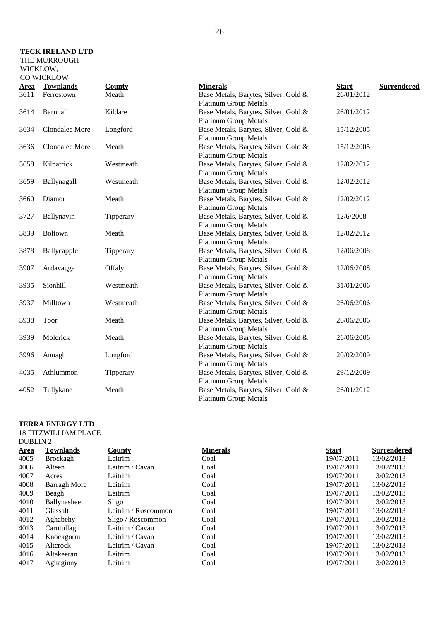### **TECK IRELAND LTD**  THE MURROUGH

| <u>Area</u> | <b>Townlands</b> | <b>County</b> | <b>Minerals</b>                      | <b>Start</b> | <b>Surrendered</b> |
|-------------|------------------|---------------|--------------------------------------|--------------|--------------------|
| 3611        | Ferrestown       | Meath         | Base Metals, Barytes, Silver, Gold & | 26/01/2012   |                    |
|             |                  |               | <b>Platinum Group Metals</b>         |              |                    |
| 3614        | Barnhall         | Kildare       | Base Metals, Barytes, Silver, Gold & | 26/01/2012   |                    |
|             |                  |               | <b>Platinum Group Metals</b>         |              |                    |
| 3634        | Clondalee More   | Longford      | Base Metals, Barytes, Silver, Gold & | 15/12/2005   |                    |
|             |                  |               | <b>Platinum Group Metals</b>         |              |                    |
| 3636        | Clondalee More   | Meath         | Base Metals, Barytes, Silver, Gold & | 15/12/2005   |                    |
|             |                  |               | <b>Platinum Group Metals</b>         |              |                    |
| 3658        | Kilpatrick       | Westmeath     | Base Metals, Barytes, Silver, Gold & | 12/02/2012   |                    |
|             |                  |               | <b>Platinum Group Metals</b>         |              |                    |
| 3659        | Ballynagall      | Westmeath     | Base Metals, Barytes, Silver, Gold & | 12/02/2012   |                    |
|             |                  |               | <b>Platinum Group Metals</b>         |              |                    |
| 3660        | Diamor           | Meath         | Base Metals, Barytes, Silver, Gold & | 12/02/2012   |                    |
|             |                  |               | <b>Platinum Group Metals</b>         |              |                    |
| 3727        | Ballynavin       | Tipperary     | Base Metals, Barytes, Silver, Gold & | 12/6/2008    |                    |
|             |                  |               | <b>Platinum Group Metals</b>         |              |                    |
| 3839        | Boltown          | Meath         | Base Metals, Barytes, Silver, Gold & | 12/02/2012   |                    |
|             |                  |               | <b>Platinum Group Metals</b>         |              |                    |
| 3878        | Ballycapple      | Tipperary     | Base Metals, Barytes, Silver, Gold & | 12/06/2008   |                    |
|             |                  |               | <b>Platinum Group Metals</b>         |              |                    |
| 3907        | Ardavagga        | Offaly        | Base Metals, Barytes, Silver, Gold & | 12/06/2008   |                    |
|             |                  |               | <b>Platinum Group Metals</b>         |              |                    |
| 3935        | Sionhill         | Westmeath     | Base Metals, Barytes, Silver, Gold & | 31/01/2006   |                    |
|             |                  |               | <b>Platinum Group Metals</b>         |              |                    |
| 3937        | Milltown         | Westmeath     | Base Metals, Barytes, Silver, Gold & | 26/06/2006   |                    |
|             |                  |               | <b>Platinum Group Metals</b>         |              |                    |
| 3938        | Toor             | Meath         | Base Metals, Barytes, Silver, Gold & | 26/06/2006   |                    |
|             |                  |               | <b>Platinum Group Metals</b>         |              |                    |
| 3939        | Molerick         | Meath         | Base Metals, Barytes, Silver, Gold & | 26/06/2006   |                    |
|             |                  |               | <b>Platinum Group Metals</b>         |              |                    |
| 3996        | Annagh           | Longford      | Base Metals, Barytes, Silver, Gold & | 20/02/2009   |                    |
|             |                  |               | <b>Platinum Group Metals</b>         |              |                    |
| 4035        | Athlummon        | Tipperary     | Base Metals, Barytes, Silver, Gold & | 29/12/2009   |                    |
|             |                  |               | <b>Platinum Group Metals</b>         |              |                    |
| 4052        | Tullykane        | Meath         | Base Metals, Barytes, Silver, Gold & | 26/01/2012   |                    |
|             |                  |               | <b>Platinum Group Metals</b>         |              |                    |
|             |                  |               |                                      |              |                    |

### **TERRA ENERGY LTD**

### 18 FITZWILLIAM PLACE DUBLIN 2

| <b>Area</b> | <b>Townlands</b>    | <b>County</b>       | <b>Minerals</b> | <b>Start</b> | <b>Surrendered</b> |
|-------------|---------------------|---------------------|-----------------|--------------|--------------------|
| 4005        | <b>Brockagh</b>     | Leitrim             | Coal            | 19/07/2011   | 13/02/2013         |
| 4006        | Alteen              | Leitrim / Cavan     | Coal            | 19/07/2011   | 13/02/2013         |
| 4007        | Acres               | Leitrim             | Coal            | 19/07/2011   | 13/02/2013         |
| 4008        | <b>Barragh More</b> | Leitrim             | Coal            | 19/07/2011   | 13/02/2013         |
| 4009        | Beagh               | Leitrim             | Coal            | 19/07/2011   | 13/02/2013         |
| 4010        | Ballynashee         | Sligo               | Coal            | 19/07/2011   | 13/02/2013         |
| 4011        | Glassalt            | Leitrim / Roscommon | Coal            | 19/07/2011   | 13/02/2013         |
| 4012        | Aghabehy            | Sligo / Roscommon   | Coal            | 19/07/2011   | 13/02/2013         |
| 4013        | Carntullagh         | Leitrim / Cavan     | Coal            | 19/07/2011   | 13/02/2013         |
| 4014        | Knockgorm           | Leitrim / Cavan     | Coal            | 19/07/2011   | 13/02/2013         |
| 4015        | Alterock            | Leitrim / Cavan     | Coal            | 19/07/2011   | 13/02/2013         |
| 4016        | Altakeeran          | Leitrim             | Coal            | 19/07/2011   | 13/02/2013         |
| 4017        | Aghaginny           | Leitrim             | Coal            | 19/07/2011   | 13/02/2013         |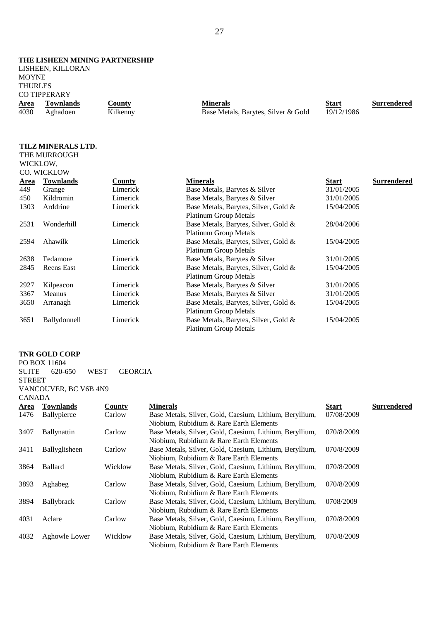#### **THE LISHEEN MINING PARTNERSHIP**

LISHEEN, KILLORAN MOYNE THURLES CO TIPPERARY

| $\sim$ 111 1 21 $\mu$ 11 1 |           |               |                                     |            |                    |  |
|----------------------------|-----------|---------------|-------------------------------------|------------|--------------------|--|
| Area                       | Townlands | <b>County</b> | <b>Minerals</b>                     | Start      | <b>Surrendered</b> |  |
| 4030                       | Aghadoen  | Kilkenny      | Base Metals, Barytes, Silver & Gold | 19/12/1986 |                    |  |

### **TILZ MINERALS LTD.**

| THE MURROUGH   |  |
|----------------|--|
| WICKLOW.       |  |
| CO. WICKLOW    |  |
| Area Townlands |  |

|             | CU. WICKLUW       |          |                                      |              |                    |
|-------------|-------------------|----------|--------------------------------------|--------------|--------------------|
| <b>Area</b> | <b>Townlands</b>  | County   | <b>Minerals</b>                      | <b>Start</b> | <b>Surrendered</b> |
| 449         | Grange            | Limerick | Base Metals, Barytes & Silver        | 31/01/2005   |                    |
| 450         | Kildromin         | Limerick | Base Metals, Barytes & Silver        | 31/01/2005   |                    |
| 1303        | Arddrine          | Limerick | Base Metals, Barytes, Silver, Gold & | 15/04/2005   |                    |
|             |                   |          | <b>Platinum Group Metals</b>         |              |                    |
| 2531        | Wonderhill        | Limerick | Base Metals, Barytes, Silver, Gold & | 28/04/2006   |                    |
|             |                   |          | <b>Platinum Group Metals</b>         |              |                    |
| 2594        | Ahawilk           | Limerick | Base Metals, Barytes, Silver, Gold & | 15/04/2005   |                    |
|             |                   |          | <b>Platinum Group Metals</b>         |              |                    |
| 2638        | Fedamore          | Limerick | Base Metals, Barytes & Silver        | 31/01/2005   |                    |
| 2845        | <b>Reens</b> East | Limerick | Base Metals, Barytes, Silver, Gold & | 15/04/2005   |                    |
|             |                   |          | <b>Platinum Group Metals</b>         |              |                    |
| 2927        | Kilpeacon         | Limerick | Base Metals, Barytes & Silver        | 31/01/2005   |                    |
| 3367        | Meanus            | Limerick | Base Metals, Barytes & Silver        | 31/01/2005   |                    |
| 3650        | Arranagh          | Limerick | Base Metals, Barytes, Silver, Gold & | 15/04/2005   |                    |
|             |                   |          | <b>Platinum Group Metals</b>         |              |                    |
| 3651        | Ballydonnell      | Limerick | Base Metals, Barytes, Silver, Gold & | 15/04/2005   |                    |
|             |                   |          | <b>Platinum Group Metals</b>         |              |                    |
|             |                   |          |                                      |              |                    |

### **TNR GOLD CORP**

| PO BOX 11604          |  |  |                            |  |  |  |  |  |
|-----------------------|--|--|----------------------------|--|--|--|--|--|
|                       |  |  | SUITE 620-650 WEST GEORGIA |  |  |  |  |  |
| <b>STREET</b>         |  |  |                            |  |  |  |  |  |
| VANCOUVER, BC V6B 4N9 |  |  |                            |  |  |  |  |  |
| <b>CANADA</b>         |  |  |                            |  |  |  |  |  |

| Area | Townlands          | County  | <b>Minerals</b>                                         | <b>Start</b> | <b>Surrendered</b> |
|------|--------------------|---------|---------------------------------------------------------|--------------|--------------------|
| 1476 | Ballypierce        | Carlow  | Base Metals, Silver, Gold, Caesium, Lithium, Beryllium, | 07/08/2009   |                    |
|      |                    |         | Niobium, Rubidium & Rare Earth Elements                 |              |                    |
| 3407 | <b>Ballynattin</b> | Carlow  | Base Metals, Silver, Gold, Caesium, Lithium, Beryllium, | 070/8/2009   |                    |
|      |                    |         | Niobium, Rubidium & Rare Earth Elements                 |              |                    |
| 3411 | Ballyglisheen      | Carlow  | Base Metals, Silver, Gold, Caesium, Lithium, Beryllium, | 070/8/2009   |                    |
|      |                    |         | Niobium, Rubidium & Rare Earth Elements                 |              |                    |
| 3864 | <b>Ballard</b>     | Wicklow | Base Metals, Silver, Gold, Caesium, Lithium, Beryllium, | 070/8/2009   |                    |
|      |                    |         | Niobium, Rubidium & Rare Earth Elements                 |              |                    |
| 3893 | Aghabeg            | Carlow  | Base Metals, Silver, Gold, Caesium, Lithium, Beryllium, | 070/8/2009   |                    |
|      |                    |         | Niobium, Rubidium & Rare Earth Elements                 |              |                    |
| 3894 | <b>Ballybrack</b>  | Carlow  | Base Metals, Silver, Gold, Caesium, Lithium, Beryllium, | 0708/2009    |                    |
|      |                    |         | Niobium, Rubidium & Rare Earth Elements                 |              |                    |
| 4031 | Aclare             | Carlow  | Base Metals, Silver, Gold, Caesium, Lithium, Beryllium, | 070/8/2009   |                    |
|      |                    |         | Niobium, Rubidium & Rare Earth Elements                 |              |                    |
| 4032 | Aghowle Lower      | Wicklow | Base Metals, Silver, Gold, Caesium, Lithium, Beryllium, | 070/8/2009   |                    |
|      |                    |         | Niobium, Rubidium & Rare Earth Elements                 |              |                    |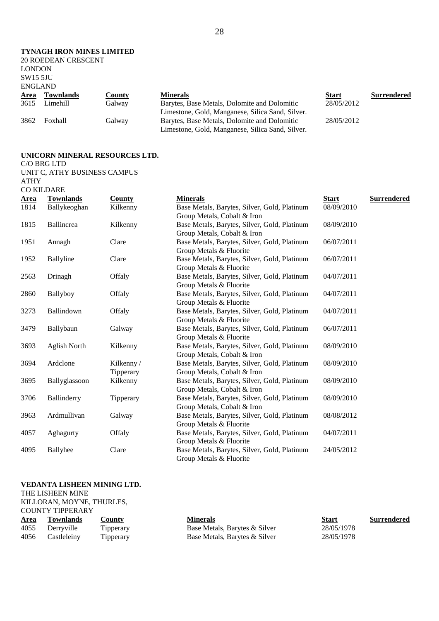28

### **TYNAGH IRON MINES LIMITED**

|                 | <b>20 ROEDEAN CRESCENT</b> |               |                                                  |              |                    |
|-----------------|----------------------------|---------------|--------------------------------------------------|--------------|--------------------|
| <b>LONDON</b>   |                            |               |                                                  |              |                    |
| <b>SW15 5JU</b> |                            |               |                                                  |              |                    |
| <b>ENGLAND</b>  |                            |               |                                                  |              |                    |
| <b>Area</b>     | <b>Townlands</b>           | <u>County</u> | <b>Minerals</b>                                  | <b>Start</b> | <b>Surrendered</b> |
| 3615            | Limehill                   | Galway        | Barytes, Base Metals, Dolomite and Dolomitic     | 28/05/2012   |                    |
|                 |                            |               | Limestone, Gold, Manganese, Silica Sand, Silver. |              |                    |
| 3862            | <b>Foxhall</b>             | Galway        | Barytes, Base Metals, Dolomite and Dolomitic     | 28/05/2012   |                    |

|      |                | $\sim$ $\sim$ |                                                  |            |
|------|----------------|---------------|--------------------------------------------------|------------|
| 3615 | Limehill       | Galway        | Barytes, Base Metals, Dolomite and Dolomitic     | 28/05/2012 |
|      |                |               | Limestone, Gold, Manganese, Silica Sand, Silver. |            |
| 3862 | <b>Foxhall</b> | Galwav        | Barytes, Base Metals, Dolomite and Dolomitic     | 28/05/2012 |
|      |                |               | Limestone, Gold, Manganese, Silica Sand, Silver. |            |

#### **UNICORN MINERAL RESOURCES LTD.**

C/O BRG LTD

UNIT C, ATHY BUSINESS CAMPUS

ATHY CO KILDARE

| <b>Area</b> | <b>Townlands</b>    | County    | <b>Minerals</b>                              | <b>Start</b> | <b>Surrendered</b> |
|-------------|---------------------|-----------|----------------------------------------------|--------------|--------------------|
| 1814        | Ballykeoghan        | Kilkenny  | Base Metals, Barytes, Silver, Gold, Platinum | 08/09/2010   |                    |
|             |                     |           | Group Metals, Cobalt & Iron                  |              |                    |
| 1815        | Ballincrea          | Kilkenny  | Base Metals, Barytes, Silver, Gold, Platinum | 08/09/2010   |                    |
|             |                     |           | Group Metals, Cobalt & Iron                  |              |                    |
| 1951        | Annagh              | Clare     | Base Metals, Barytes, Silver, Gold, Platinum | 06/07/2011   |                    |
|             |                     |           | Group Metals & Fluorite                      |              |                    |
| 1952        | <b>Ballyline</b>    | Clare     | Base Metals, Barytes, Silver, Gold, Platinum | 06/07/2011   |                    |
|             |                     |           | Group Metals & Fluorite                      |              |                    |
| 2563        | Drinagh             | Offaly    | Base Metals, Barytes, Silver, Gold, Platinum | 04/07/2011   |                    |
|             |                     |           | Group Metals & Fluorite                      |              |                    |
| 2860        | Ballyboy            | Offaly    | Base Metals, Barytes, Silver, Gold, Platinum | 04/07/2011   |                    |
|             |                     |           | Group Metals & Fluorite                      |              |                    |
| 3273        | Ballindown          | Offaly    | Base Metals, Barytes, Silver, Gold, Platinum | 04/07/2011   |                    |
|             |                     |           | Group Metals & Fluorite                      |              |                    |
| 3479        | Ballybaun           | Galway    | Base Metals, Barytes, Silver, Gold, Platinum | 06/07/2011   |                    |
|             |                     |           | Group Metals & Fluorite                      |              |                    |
| 3693        | <b>Aglish North</b> | Kilkenny  | Base Metals, Barytes, Silver, Gold, Platinum | 08/09/2010   |                    |
|             |                     |           | Group Metals, Cobalt & Iron                  |              |                    |
| 3694        | Ardclone            | Kilkenny/ | Base Metals, Barytes, Silver, Gold, Platinum | 08/09/2010   |                    |
|             |                     | Tipperary | Group Metals, Cobalt & Iron                  |              |                    |
| 3695        | Ballyglassoon       | Kilkenny  | Base Metals, Barytes, Silver, Gold, Platinum | 08/09/2010   |                    |
|             |                     |           | Group Metals, Cobalt & Iron                  |              |                    |
| 3706        | Ballinderry         | Tipperary | Base Metals, Barytes, Silver, Gold, Platinum | 08/09/2010   |                    |
|             |                     |           | Group Metals, Cobalt & Iron                  |              |                    |
| 3963        | Ardmullivan         | Galway    | Base Metals, Barytes, Silver, Gold, Platinum | 08/08/2012   |                    |
|             |                     |           | Group Metals & Fluorite                      |              |                    |
| 4057        | Aghagurty           | Offaly    | Base Metals, Barytes, Silver, Gold, Platinum | 04/07/2011   |                    |
|             |                     |           | Group Metals & Fluorite                      |              |                    |
| 4095        | <b>Ballyhee</b>     | Clare     | Base Metals, Barytes, Silver, Gold, Platinum | 24/05/2012   |                    |
|             |                     |           | Group Metals & Fluorite                      |              |                    |

#### **VEDANTA LISHEEN MINING LTD.**

THE LISHEEN MINE

KILLORAN, MOYNE, THURLES, COUNTY TIPPERARY **Area Townlands County County Minerals County Base Metals, Barytes & Silver Start Surrendered Surrendered County Base Metals, Barytes & Silver COUNTY Surrendered** 1055 Derryville Tipperary Base Metals, Barytes & Silver 4056 Castleleiny Tipperary Base Metals, Barytes & Silver 28/05/1978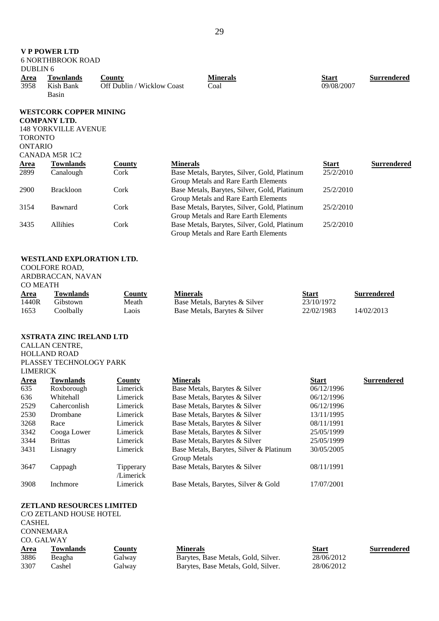| <b>DUBLIN 6</b>                  | <b>VP POWER LTD</b><br><b>6 NORTHBROOK ROAD</b>                                     |                                             |                                                                                      |                            |                    |
|----------------------------------|-------------------------------------------------------------------------------------|---------------------------------------------|--------------------------------------------------------------------------------------|----------------------------|--------------------|
| <b>Area</b><br>3958              | <b>Townlands</b><br>Kish Bank<br>Basin                                              | <b>County</b><br>Off Dublin / Wicklow Coast | <b>Minerals</b><br>Coal                                                              | <b>Start</b><br>09/08/2007 | <b>Surrendered</b> |
| <b>TORONTO</b><br><b>ONTARIO</b> | <b>WESTCORK COPPER MINING</b><br><b>COMPANY LTD.</b><br><b>148 YORKVILLE AVENUE</b> |                                             |                                                                                      |                            |                    |
|                                  | CANADA M5R 1C2                                                                      |                                             |                                                                                      |                            |                    |
| <u>Area</u>                      | <b>Townlands</b>                                                                    | <b>County</b>                               | <b>Minerals</b>                                                                      | <b>Start</b>               | <b>Surrendered</b> |
| 2899                             | Canalough                                                                           | Cork                                        | Base Metals, Barytes, Silver, Gold, Platinum<br>Group Metals and Rare Earth Elements | 25/2/2010                  |                    |
| 2900                             | <b>Brackloon</b>                                                                    | Cork                                        | Base Metals, Barytes, Silver, Gold, Platinum<br>Group Metals and Rare Earth Elements | 25/2/2010                  |                    |
| 3154                             | Bawnard                                                                             | Cork                                        | Base Metals, Barytes, Silver, Gold, Platinum<br>Group Metals and Rare Earth Elements | 25/2/2010                  |                    |
| 3435                             | Allihies                                                                            | Cork                                        | Base Metals, Barytes, Silver, Gold, Platinum<br>Group Metals and Rare Earth Elements | 25/2/2010                  |                    |
| <b>COMEATH</b>                   | WESTLAND EXPLORATION LTD.<br>COOLFORE ROAD,<br>ARDBRACCAN, NAVAN                    |                                             |                                                                                      |                            |                    |
| Area                             | <b>Townlands</b>                                                                    | <b>County</b>                               | <b>Minerals</b>                                                                      | <b>Start</b>               | <b>Surrendered</b> |
| 1440R                            | Gibstown                                                                            | Meath                                       | Base Metals, Barytes & Silver                                                        | 23/10/1972                 |                    |
| 1653                             | Coolbally                                                                           | Laois                                       | Base Metals, Barytes & Silver                                                        | 22/02/1983                 | 14/02/2013         |
|                                  | <b>XSTRATA ZINC IRELAND LTD</b>                                                     |                                             |                                                                                      |                            |                    |
|                                  | CALLAN CENTRE,                                                                      |                                             |                                                                                      |                            |                    |
|                                  | <b>HOLLAND ROAD</b>                                                                 |                                             |                                                                                      |                            |                    |
| <b>LIMERICK</b>                  | PLASSEY TECHNOLOGY PARK                                                             |                                             |                                                                                      |                            |                    |
| <b>Area</b>                      | <b>Townlands</b>                                                                    | County                                      | <b>Minerals</b>                                                                      | <b>Start</b>               | <b>Surrendered</b> |
| 635                              | Roxborough                                                                          | Limerick                                    | Base Metals, Barytes & Silver                                                        | 06/12/1996                 |                    |
| 636                              | Whitehall                                                                           | Limerick                                    | Base Metals, Barytes & Silver                                                        | 06/12/1996                 |                    |
| 2529                             | Caherconlish                                                                        | Limerick                                    | Base Metals, Barytes & Silver                                                        | 06/12/1996                 |                    |
| 2530                             | Drombane                                                                            | Limerick                                    | Base Metals, Barytes & Silver                                                        | 13/11/1995                 |                    |
| 3268                             | Race                                                                                | Limerick                                    | Base Metals, Barytes & Silver                                                        | 08/11/1991                 |                    |
| 3342                             | Cooga Lower                                                                         | Limerick                                    | Base Metals, Barytes & Silver                                                        | 25/05/1999                 |                    |
| 3344                             | <b>Brittas</b>                                                                      | Limerick                                    | Base Metals, Barytes & Silver                                                        | 25/05/1999                 |                    |
| 3431                             | Lisnagry                                                                            | Limerick                                    | Base Metals, Barytes, Silver & Platinum<br>Group Metals                              | 30/05/2005                 |                    |
| 3647                             | Cappagh                                                                             | Tipperary<br>/Limerick                      | Base Metals, Barytes & Silver                                                        | 08/11/1991                 |                    |
| 3908                             | Inchmore                                                                            | Limerick                                    | Base Metals, Barytes, Silver & Gold                                                  | 17/07/2001                 |                    |
| <b>CASHEL</b>                    | ZETLAND RESOURCES LIMITED<br>C/O ZETLAND HOUSE HOTEL                                |                                             |                                                                                      |                            |                    |

CO. GALWAY<br>Area Townlands **Area Townlands County County Minerals Start Surrendered Beagha Calway Barytes, Base Metals, Gold, Silver. Surrendered Surrendered** 3886 Beagha Galway Barytes, Base Metals, Gold, Silver. 28/06/2012 Barytes, Base Metals, Gold, Silver.

CONNEMARA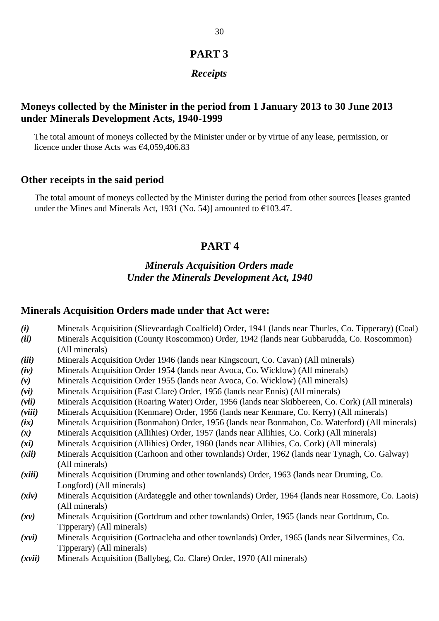# **PART 3**

# *Receipts*

# **Moneys collected by the Minister in the period from 1 January 2013 to 30 June 2013 under Minerals Development Acts, 1940-1999**

The total amount of moneys collected by the Minister under or by virtue of any lease, permission, or licence under those Acts was €4,059,406.83

## **Other receipts in the said period**

The total amount of moneys collected by the Minister during the period from other sources [leases granted under the Mines and Minerals Act, 1931 (No. 54)] amounted to  $\epsilon$ 103.47.

# **PART 4**

# *Minerals Acquisition Orders made Under the Minerals Development Act, 1940*

### **Minerals Acquisition Orders made under that Act were:**

- *(i)* Minerals Acquisition (Slieveardagh Coalfield) Order, 1941 (lands near Thurles, Co. Tipperary) (Coal)
- *(ii)* Minerals Acquisition (County Roscommon) Order, 1942 (lands near Gubbarudda, Co. Roscommon) (All minerals)
- *(iii)* Minerals Acquisition Order 1946 (lands near Kingscourt, Co. Cavan) (All minerals)
- *(iv)* Minerals Acquisition Order 1954 (lands near Avoca, Co. Wicklow) (All minerals)
- *(v)* Minerals Acquisition Order 1955 (lands near Avoca, Co. Wicklow) (All minerals)
- *(vi)* Minerals Acquisition (East Clare) Order, 1956 (lands near Ennis) (All minerals)
- *(vii)* Minerals Acquisition (Roaring Water) Order, 1956 (lands near Skibbereen, Co. Cork) (All minerals)
- *(viii)* Minerals Acquisition (Kenmare) Order, 1956 (lands near Kenmare, Co. Kerry) (All minerals)
- *(ix)* Minerals Acquisition (Bonmahon) Order, 1956 (lands near Bonmahon, Co. Waterford) (All minerals)
- *(x)* Minerals Acquisition (Allihies) Order, 1957 (lands near Allihies, Co. Cork) (All minerals)
- *(xi)* Minerals Acquisition (Allihies) Order, 1960 (lands near Allihies, Co. Cork) (All minerals)
- *(xii)* Minerals Acquisition (Carhoon and other townlands) Order, 1962 (lands near Tynagh, Co. Galway) (All minerals)
- *(xiii)* Minerals Acquisition (Druming and other townlands) Order, 1963 (lands near Druming, Co. Longford) (All minerals)
- *(xiv)* Minerals Acquisition (Ardateggle and other townlands) Order, 1964 (lands near Rossmore, Co. Laois) (All minerals)
- *(xv)* Minerals Acquisition (Gortdrum and other townlands) Order, 1965 (lands near Gortdrum, Co. Tipperary) (All minerals)
- *(xvi)* Minerals Acquisition (Gortnacleha and other townlands) Order, 1965 (lands near Silvermines, Co. Tipperary) (All minerals)
- *(xvii)* Minerals Acquisition (Ballybeg, Co. Clare) Order, 1970 (All minerals)